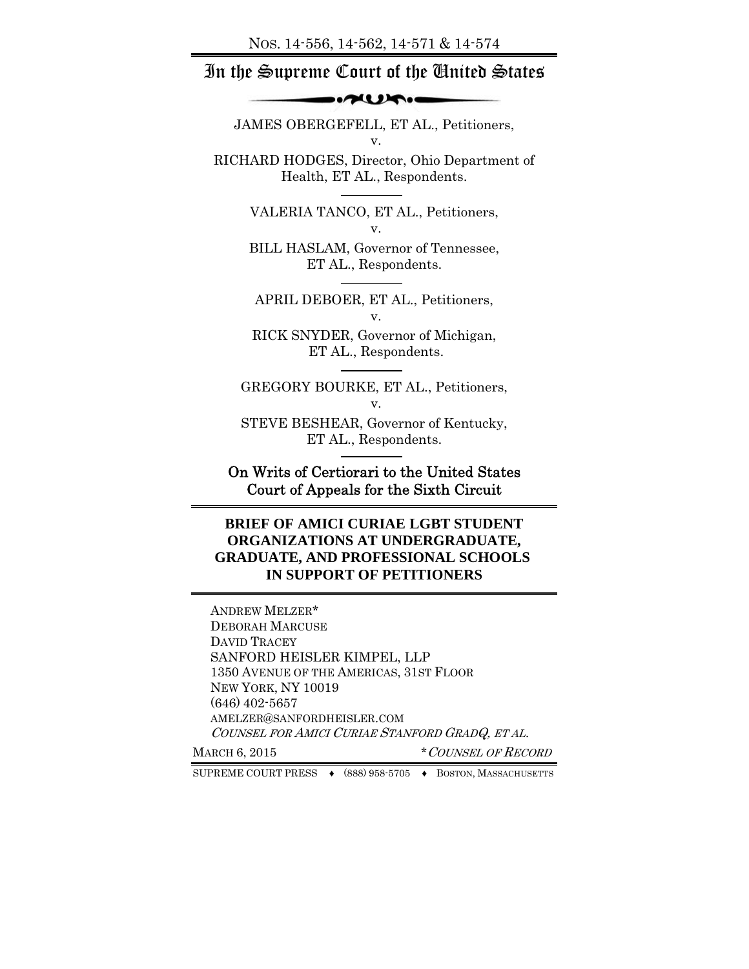### In the Supreme Court of the United States

#### $\sim$

JAMES OBERGEFELL, ET AL., Petitioners, v.

RICHARD HODGES, Director, Ohio Department of Health, ET AL., Respondents.

> VALERIA TANCO, ET AL., Petitioners, v.

> BILL HASLAM, Governor of Tennessee, ET AL., Respondents.

APRIL DEBOER, ET AL., Petitioners, v.

RICK SNYDER, Governor of Michigan, ET AL., Respondents.

GREGORY BOURKE, ET AL., Petitioners, v.

STEVE BESHEAR, Governor of Kentucky, ET AL., Respondents.

On Writs of Certiorari to the United States Court of Appeals for the Sixth Circuit

### **BRIEF OF AMICI CURIAE LGBT STUDENT ORGANIZATIONS AT UNDERGRADUATE, GRADUATE, AND PROFESSIONAL SCHOOLS IN SUPPORT OF PETITIONERS**

ANDREW MELZER\* DEBORAH MARCUSE DAVID TRACEY SANFORD HEISLER KIMPEL, LLP 1350 AVENUE OF THE AMERICAS, 31ST FLOOR NEW YORK, NY 10019 (646) 402-5657 AMELZER@SANFORDHEISLER.COM COUNSEL FOR AMICI CURIAE STANFORD GRADQ, ET AL.

MARCH 6, 2015 \* COUNSEL OF RECORD

SUPREME COURT PRESS ♦ (888) 958-5705 ♦ BOSTON, MASSACHUSETTS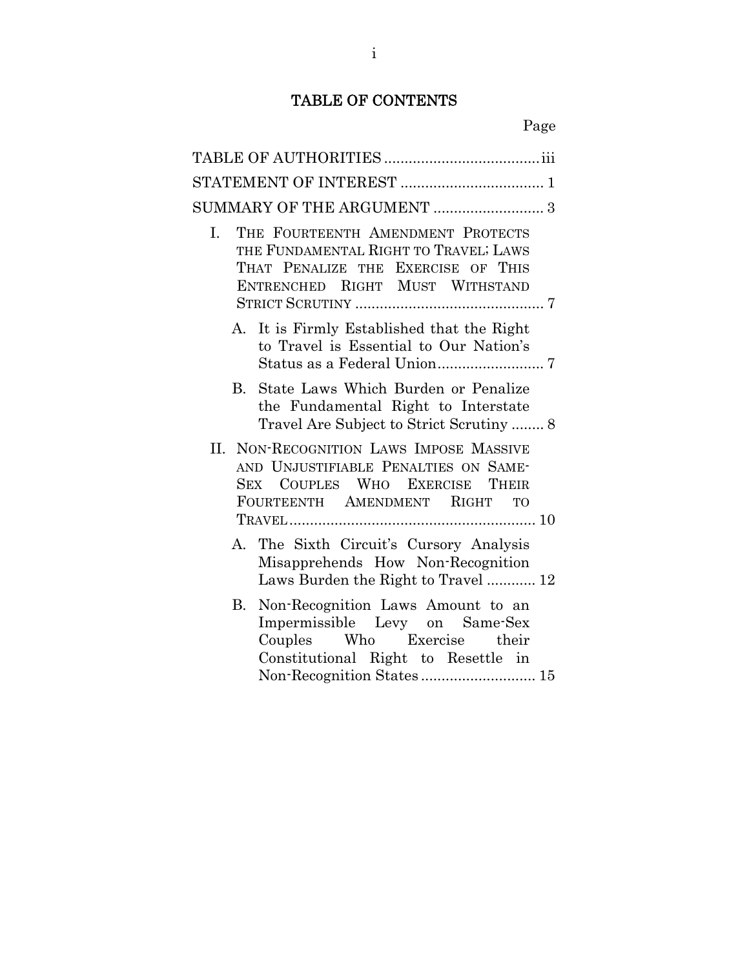## TABLE OF CONTENTS

| SUMMARY OF THE ARGUMENT  3                                                                                                                                                  |
|-----------------------------------------------------------------------------------------------------------------------------------------------------------------------------|
| THE FOURTEENTH AMENDMENT PROTECTS<br>I.<br>THE FUNDAMENTAL RIGHT TO TRAVEL; LAWS<br>THAT PENALIZE THE EXERCISE OF THIS<br>ENTRENCHED RIGHT MUST WITHSTAND                   |
| It is Firmly Established that the Right<br>A.<br>to Travel is Essential to Our Nation's                                                                                     |
| State Laws Which Burden or Penalize<br>B.<br>the Fundamental Right to Interstate<br>Travel Are Subject to Strict Scrutiny  8                                                |
| II. NON-RECOGNITION LAWS IMPOSE MASSIVE<br>AND UNJUSTIFIABLE PENALTIES ON SAME-<br>SEX COUPLES WHO EXERCISE<br>THEIR<br>FOURTEENTH AMENDMENT RIGHT TO                       |
| The Sixth Circuit's Cursory Analysis<br>A.<br>Misapprehends How Non-Recognition<br>Laws Burden the Right to Travel 12                                                       |
| Non-Recognition Laws Amount to an<br>В.<br>Impermissible Levy on Same-Sex<br>Couples Who Exercise their<br>Constitutional Right to Resettle in<br>Non-Recognition States 15 |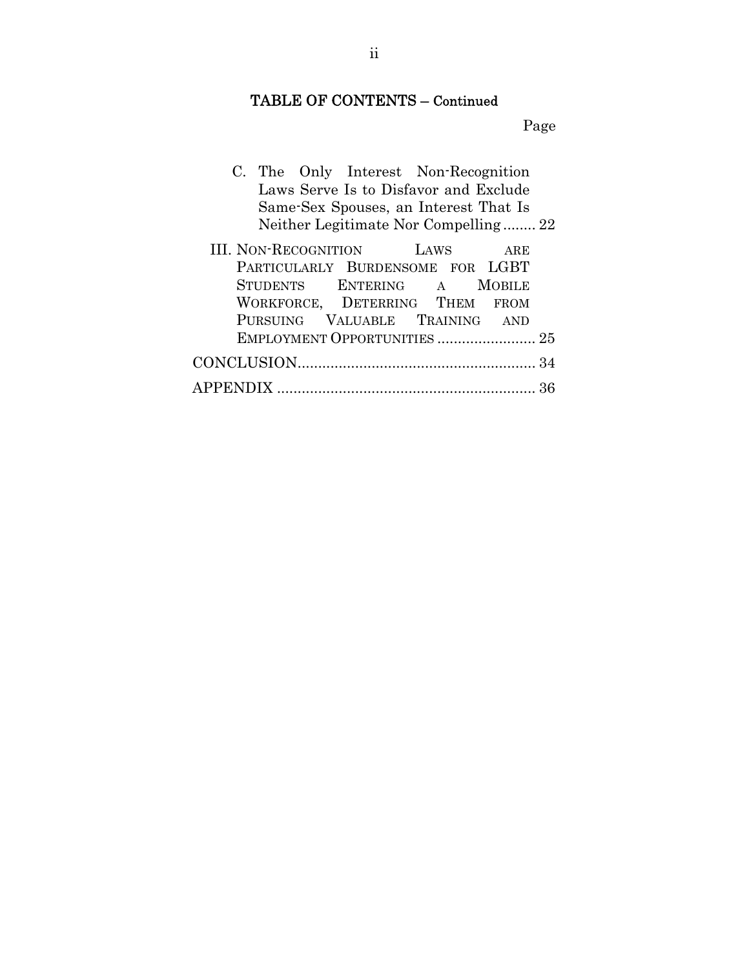## TABLE OF CONTENTS – Continued

Page

|  |                                 | C. The Only Interest Non-Recognition  |          |
|--|---------------------------------|---------------------------------------|----------|
|  |                                 | Laws Serve Is to Disfavor and Exclude |          |
|  |                                 | Same-Sex Spouses, an Interest That Is |          |
|  |                                 | Neither Legitimate Nor Compelling 22  |          |
|  | $I$ Mour Dragonium our $I$ into |                                       | $\cdots$ |

| III. NON-RECOGNITION LAWS ARE    |  |  |
|----------------------------------|--|--|
| PARTICULARLY BURDENSOME FOR LGBT |  |  |
| STUDENTS ENTERING A MOBILE       |  |  |
| WORKFORCE, DETERRING THEM FROM   |  |  |
| PURSUING VALUABLE TRAINING AND   |  |  |
| EMPLOYMENT OPPORTUNITIES  25     |  |  |
|                                  |  |  |
|                                  |  |  |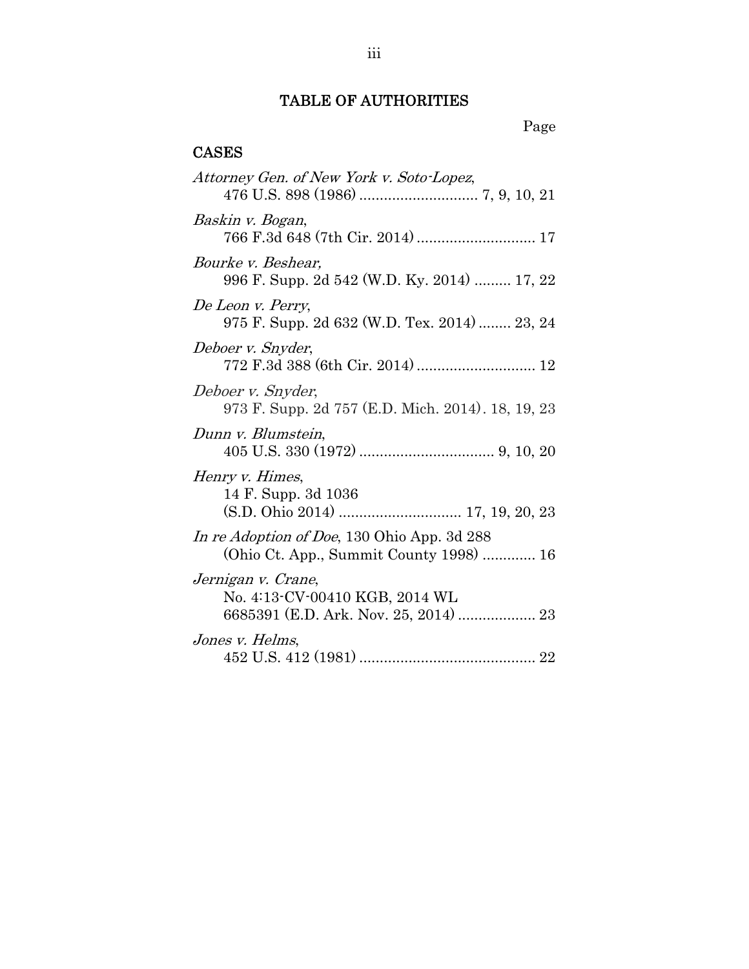## TABLE OF AUTHORITIES

## CASES

| Attorney Gen. of New York v. Soto-Lopez,                                                      |
|-----------------------------------------------------------------------------------------------|
| Baskin v. Bogan,<br>766 F.3d 648 (7th Cir. 2014)  17                                          |
| <i>Bourke v. Beshear,</i><br>996 F. Supp. 2d 542 (W.D. Ky. 2014)  17, 22                      |
| De Leon v. Perry,<br>975 F. Supp. 2d 632 (W.D. Tex. 2014)  23, 24                             |
| Deboer v. Snyder,                                                                             |
| Deboer v. Snyder,<br>973 F. Supp. 2d 757 (E.D. Mich. 2014). 18, 19, 23                        |
| Dunn v. Blumstein,                                                                            |
| Henry v. Himes,<br>14 F. Supp. 3d 1036                                                        |
| In re Adoption of Doe, 130 Ohio App. 3d 288<br>(Ohio Ct. App., Summit County 1998)  16        |
| Jernigan v. Crane,<br>No. 4:13-CV-00410 KGB, 2014 WL<br>6685391 (E.D. Ark. Nov. 25, 2014)  23 |
| Jones v. Helms,                                                                               |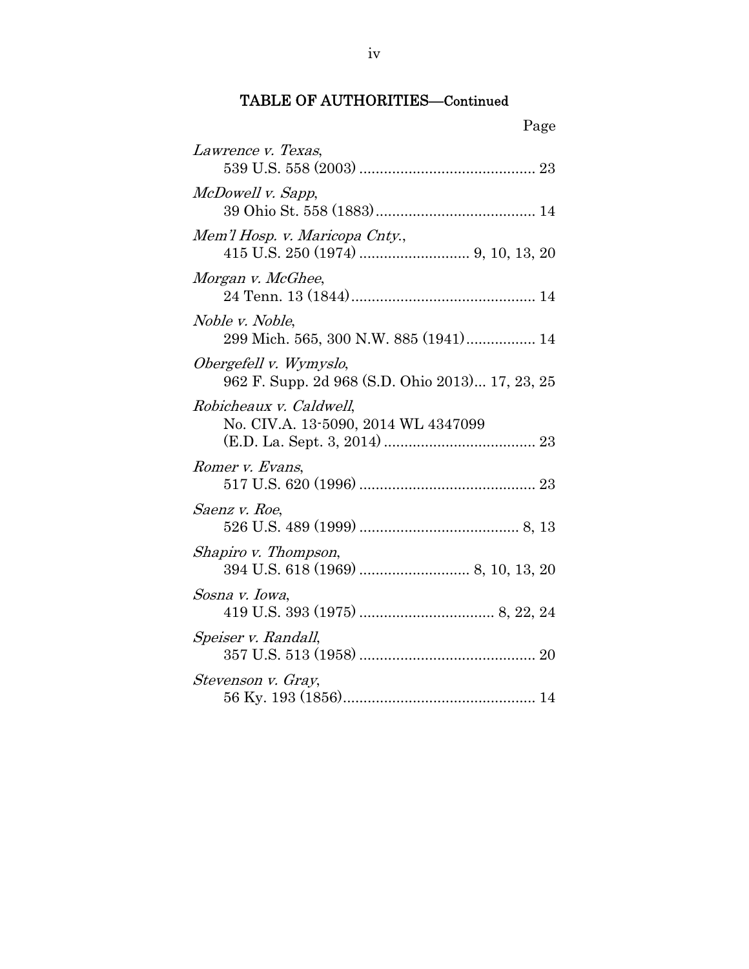| Page                                                                      |
|---------------------------------------------------------------------------|
| Lawrence v. Texas,                                                        |
| McDowell v. Sapp,                                                         |
| Mem'l Hosp. v. Maricopa Cnty.,                                            |
| Morgan v. McGhee,                                                         |
| Noble v. Noble,<br>299 Mich. 565, 300 N.W. 885 (1941) 14                  |
| Obergefell v. Wymyslo,<br>962 F. Supp. 2d 968 (S.D. Ohio 2013) 17, 23, 25 |
| Robicheaux v. Caldwell,<br>No. CIV.A. 13-5090, 2014 WL 4347099            |
| Romer v. Evans,                                                           |
| Saenz v. Roe,                                                             |
| Shapiro v. Thompson,                                                      |
| Sosna v. Iowa,                                                            |
| Speiser v. Randall,                                                       |
| Stevenson v. Gray,                                                        |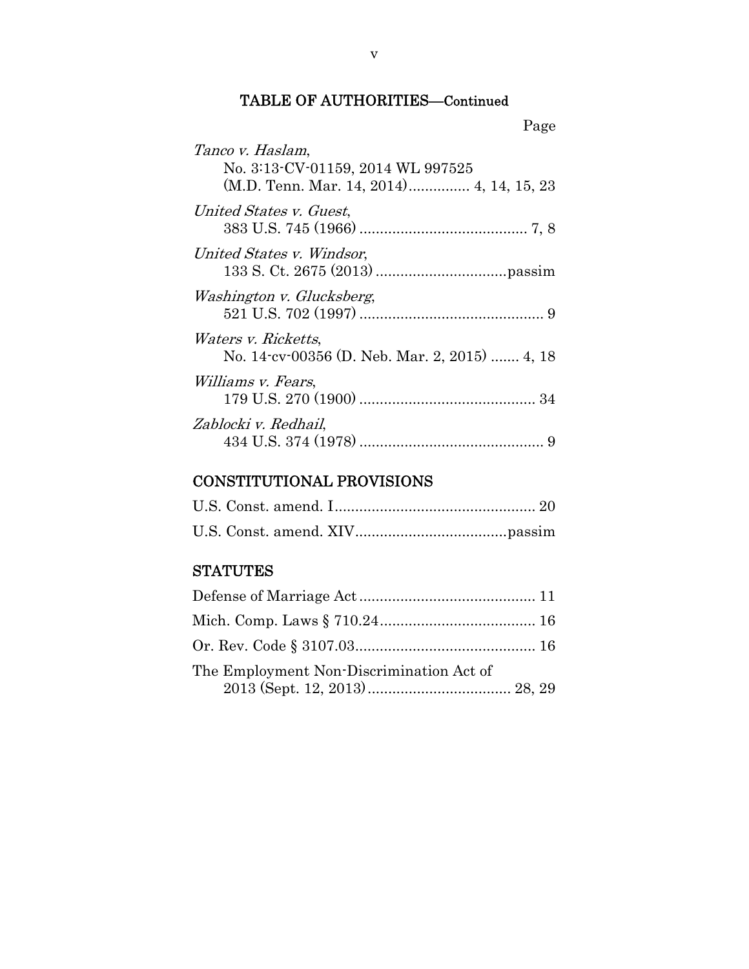| Page                                                                 |
|----------------------------------------------------------------------|
| Tanco v. Haslam,<br>No. 3:13-CV-01159, 2014 WL 997525                |
| United States v. Guest,                                              |
| United States v. Windsor,                                            |
| Washington v. Glucksberg,                                            |
| Waters v. Ricketts,<br>No. 14 cv 00356 (D. Neb. Mar. 2, 2015)  4, 18 |
| <i>Williams v. Fears,</i>                                            |
| Zablocki v. Redhail,                                                 |

## CONSTITUTIONAL PROVISIONS

## **STATUTES**

| The Employment Non-Discrimination Act of |  |
|------------------------------------------|--|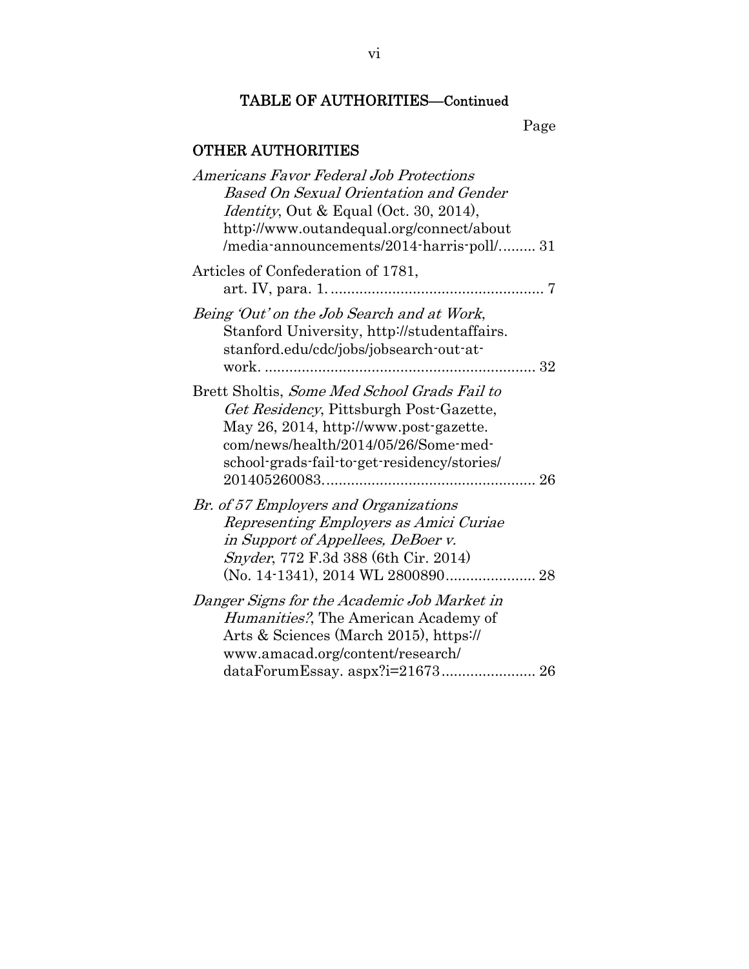Page

## OTHER AUTHORITIES

| Americans Favor Federal Job Protections        |
|------------------------------------------------|
| Based On Sexual Orientation and Gender         |
| <i>Identity</i> , Out & Equal (Oct. 30, 2014), |
| http://www.outandequal.org/connect/about       |
| /media-announcements/2014-harris-poll/ 31      |
| Articles of Confederation of 1781,             |
| 7                                              |
| Being 'Out' on the Job Search and at Work,     |
| Stanford University, http://studentaffairs.    |
| stanford.edu/cdc/jobs/jobsearch-out-at-        |
| work.                                          |
| Brett Sholtis, Some Med School Grads Fail to   |
| Get Residency, Pittsburgh Post-Gazette,        |
| May 26, 2014, http://www.post-gazette.         |
| com/news/health/2014/05/26/Some-med-           |
| school-grads-fail-to-get-residency/stories/    |
|                                                |
| Br. of 57 Employers and Organizations          |
| Representing Employers as Amici Curiae         |
| in Support of Appellees, DeBoer v.             |
| Snyder, 772 F.3d 388 (6th Cir. 2014)           |
|                                                |
| Danger Signs for the Academic Job Market in    |
| <i>Humanities?</i> , The American Academy of   |
| Arts & Sciences (March 2015), https://         |
| www.amacad.org/content/research/               |
| dataForumEssay. aspx?i=21673 26                |
|                                                |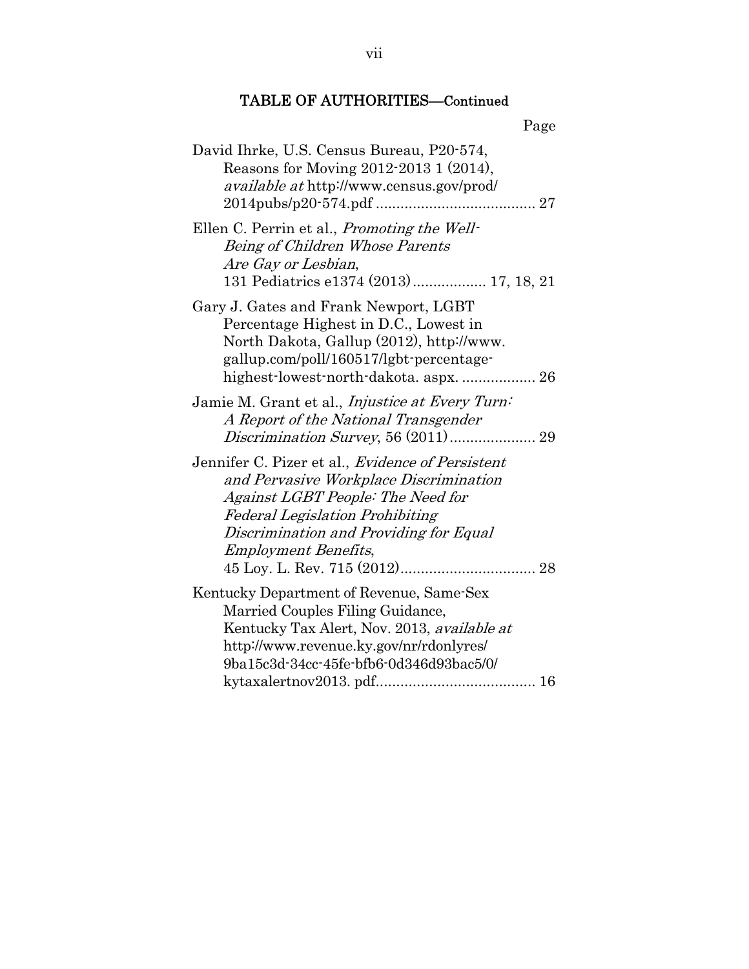| Page                                                                                                                                                                                                                                               |
|----------------------------------------------------------------------------------------------------------------------------------------------------------------------------------------------------------------------------------------------------|
| David Ihrke, U.S. Census Bureau, P20-574,<br>Reasons for Moving 2012-2013 1 (2014),<br><i>available at http://www.census.gov/prod/</i>                                                                                                             |
| Ellen C. Perrin et al., <i>Promoting the Well-</i><br>Being of Children Whose Parents<br>Are Gay or Lesbian,<br>131 Pediatrics e1374 (2013) 17, 18, 21                                                                                             |
| Gary J. Gates and Frank Newport, LGBT<br>Percentage Highest in D.C., Lowest in<br>North Dakota, Gallup (2012), http://www.<br>gallup.com/poll/160517/lgbt-percentage-                                                                              |
| Jamie M. Grant et al., <i>Injustice at Every Turn</i> :<br>A Report of the National Transgender                                                                                                                                                    |
| Jennifer C. Pizer et al., Evidence of Persistent<br>and Pervasive Workplace Discrimination<br>Against LGBT People: The Need for<br><b>Federal Legislation Prohibiting</b><br>Discrimination and Providing for Equal<br><b>Employment Benefits,</b> |
| Kentucky Department of Revenue, Same-Sex<br>Married Couples Filing Guidance,<br>Kentucky Tax Alert, Nov. 2013, available at<br>http://www.revenue.ky.gov/nr/rdonlyres/<br>9ba15c3d-34cc-45fe-bfb6-0d346d93bac5/0/                                  |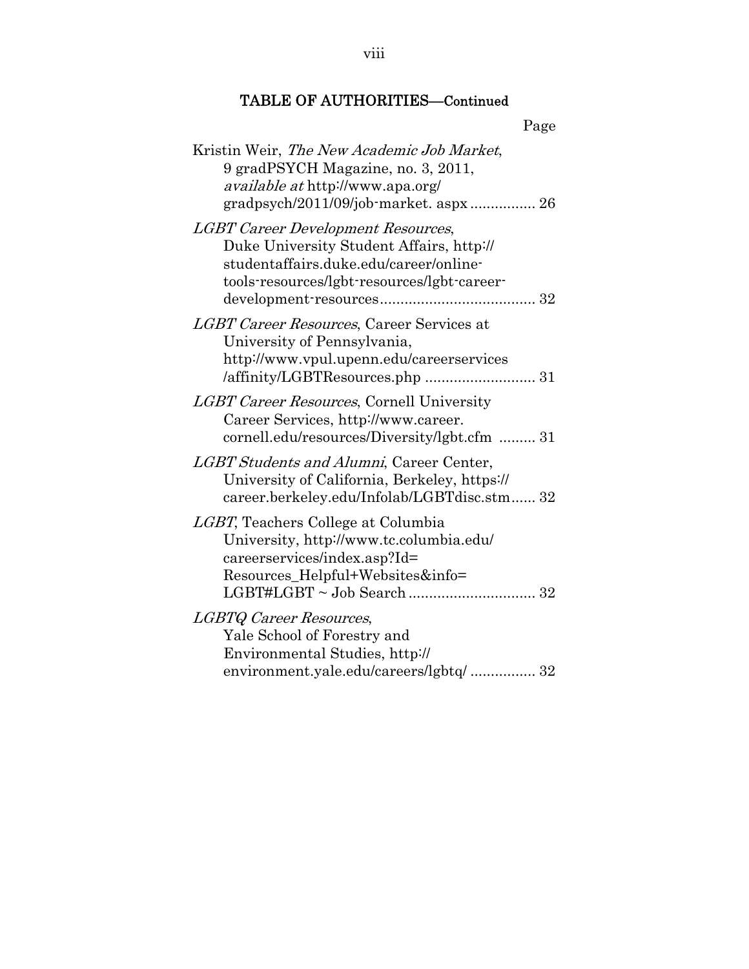| Page                                                                                                                                                                           |
|--------------------------------------------------------------------------------------------------------------------------------------------------------------------------------|
| Kristin Weir, The New Academic Job Market,<br>9 gradPSYCH Magazine, no. 3, 2011,<br><i>available at</i> http://www.apa.org/<br>gradpsych/2011/09/job-market. aspx 26           |
| <b>LGBT Career Development Resources,</b><br>Duke University Student Affairs, http://<br>studentaffairs.duke.edu/career/online-<br>tools-resources/lgbt-resources/lgbt-career- |
| LGBT Career Resources, Career Services at<br>University of Pennsylvania,<br>http://www.vpul.upenn.edu/careerservices                                                           |
| <i>LGBT Career Resources, Cornell University</i><br>Career Services, http://www.career.<br>cornell.edu/resources/Diversity/lgbt.cfm  31                                        |
| LGBT Students and Alumni, Career Center,<br>University of California, Berkeley, https://<br>career.berkeley.edu/Infolab/LGBTdisc.stm 32                                        |
| LGBT, Teachers College at Columbia<br>University, http://www.tc.columbia.edu/<br>careerservices/index.asp?Id=<br>Resources_Helpful+Websites&info=                              |
| LGBTQ Career Resources,<br>Yale School of Forestry and<br>Environmental Studies, http://<br>environment.yale.edu/careers/lgbtq/ 32                                             |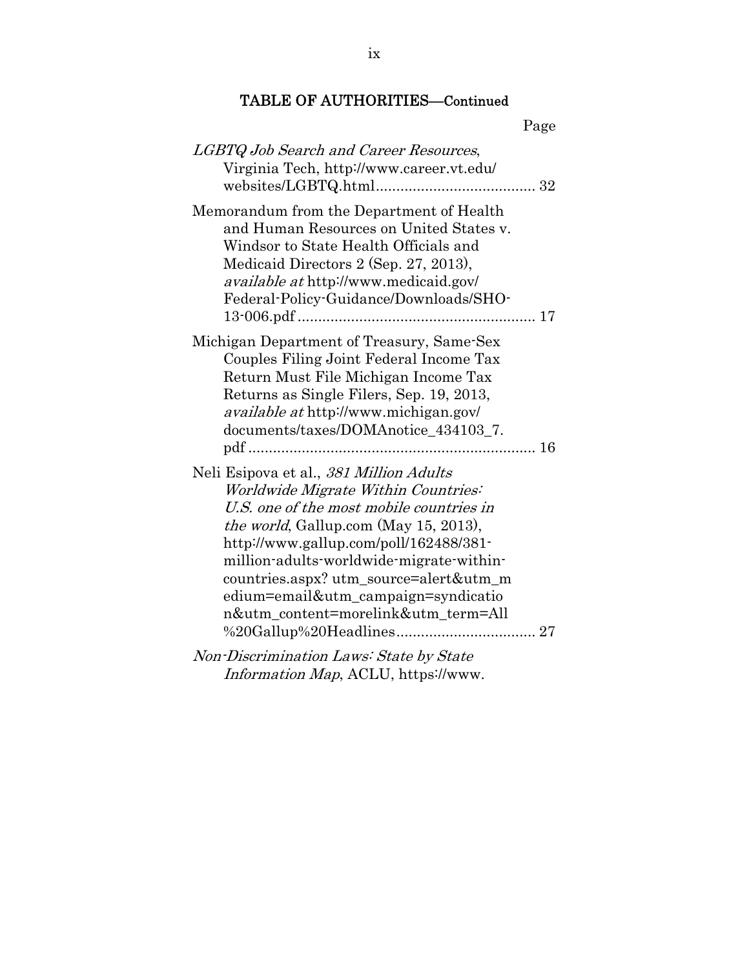| Page                                                                                                                                                                                                                                                                                                                                                                                      |
|-------------------------------------------------------------------------------------------------------------------------------------------------------------------------------------------------------------------------------------------------------------------------------------------------------------------------------------------------------------------------------------------|
| LGBTQ Job Search and Career Resources,<br>Virginia Tech, http://www.career.vt.edu/                                                                                                                                                                                                                                                                                                        |
| Memorandum from the Department of Health<br>and Human Resources on United States v.<br>Windsor to State Health Officials and<br>Medicaid Directors 2 (Sep. 27, 2013),<br><i>available at http://www.medicaid.gov/</i><br>Federal-Policy-Guidance/Downloads/SHO-                                                                                                                           |
| Michigan Department of Treasury, Same-Sex<br>Couples Filing Joint Federal Income Tax<br>Return Must File Michigan Income Tax<br>Returns as Single Filers, Sep. 19, 2013,<br><i>available at</i> http://www.michigan.gov/<br>documents/taxes/DOMAnotice_434103_7.                                                                                                                          |
| Neli Esipova et al., 381 Million Adults<br>Worldwide Migrate Within Countries:<br>U.S. one of the most mobile countries in<br><i>the world</i> , Gallup.com (May 15, 2013),<br>http://www.gallup.com/poll/162488/381-<br>million-adults-worldwide-migrate-within-<br>countries.aspx? utm_source=alert&utm_m<br>edium=email&utm_campaign=syndicatio<br>n&utm_content=morelink&utm_term=All |
| Non-Discrimination Laws: State by State                                                                                                                                                                                                                                                                                                                                                   |

Information Map, ACLU, https://www.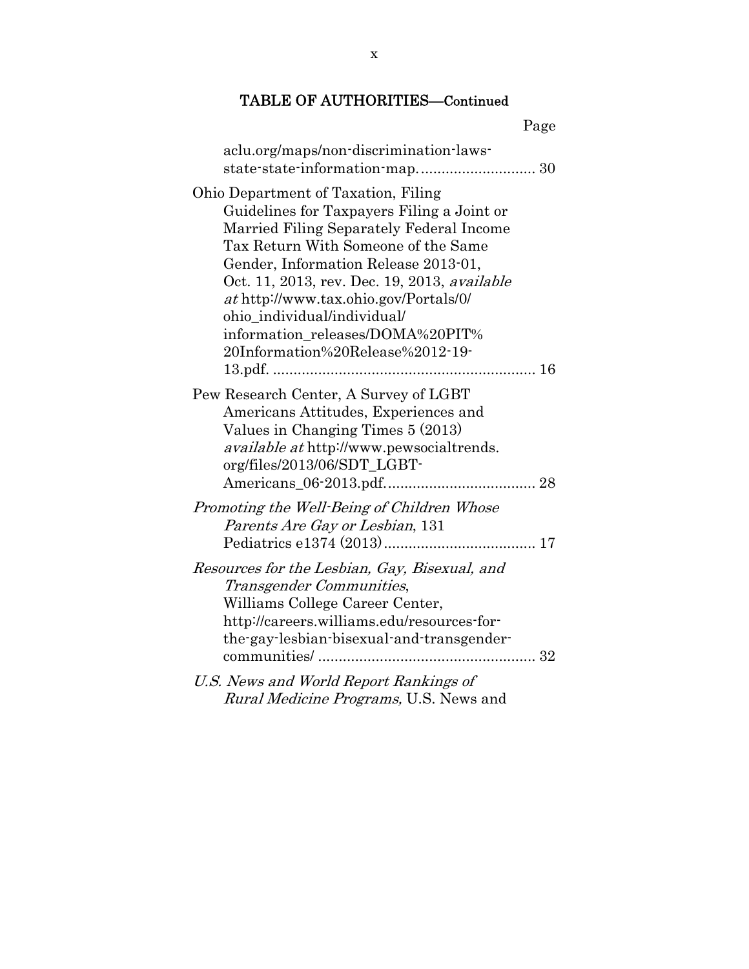| Page                                                                                                                                                                                                                                                                                                                                                                                                         |
|--------------------------------------------------------------------------------------------------------------------------------------------------------------------------------------------------------------------------------------------------------------------------------------------------------------------------------------------------------------------------------------------------------------|
| aclu.org/maps/non-discrimination-laws-                                                                                                                                                                                                                                                                                                                                                                       |
| Ohio Department of Taxation, Filing<br>Guidelines for Taxpayers Filing a Joint or<br>Married Filing Separately Federal Income<br>Tax Return With Someone of the Same<br>Gender, Information Release 2013-01,<br>Oct. 11, 2013, rev. Dec. 19, 2013, available<br>at http://www.tax.ohio.gov/Portals/0/<br>ohio_individual/individual/<br>information releases/DOMA%20PIT%<br>20Information%20Release%2012-19- |
| Pew Research Center, A Survey of LGBT<br>Americans Attitudes, Experiences and<br>Values in Changing Times 5 (2013)<br><i>available at http://www.pewsocialtrends.</i><br>org/files/2013/06/SDT_LGBT-                                                                                                                                                                                                         |
| Promoting the Well-Being of Children Whose<br>Parents Are Gay or Lesbian, 131                                                                                                                                                                                                                                                                                                                                |
| Resources for the Lesbian, Gay, Bisexual, and<br>Transgender Communities,<br>Williams College Career Center,<br>http://careers.williams.edu/resources-for-<br>the-gay-lesbian-bisexual-and-transgender-                                                                                                                                                                                                      |
| U.S. News and World Report Rankings of<br>Rural Medicine Programs, U.S. News and                                                                                                                                                                                                                                                                                                                             |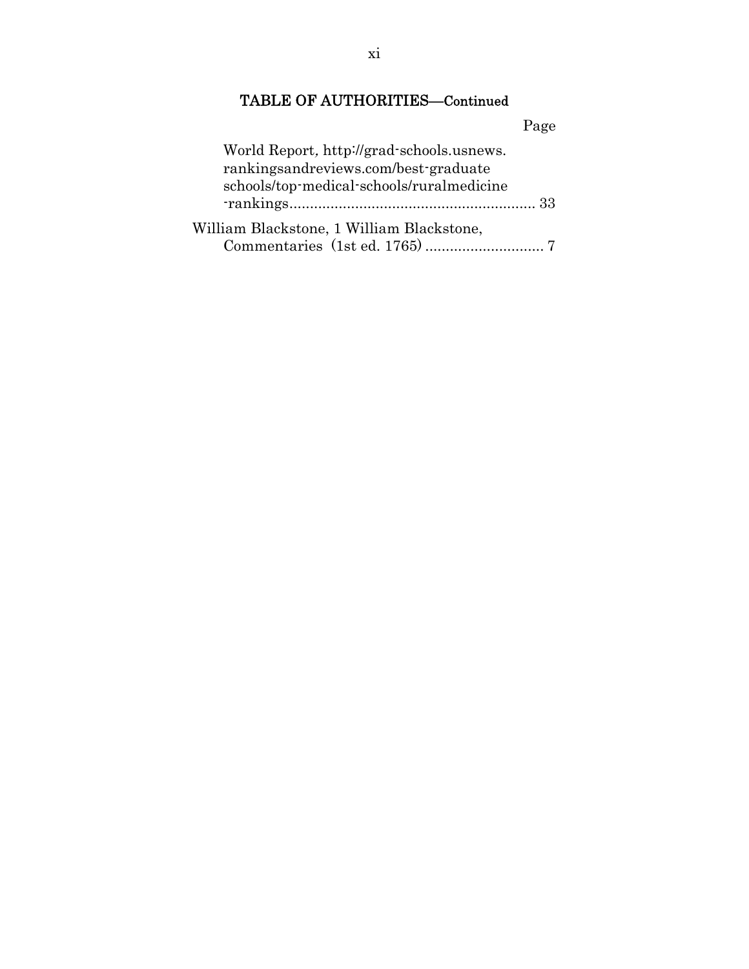|                                                                                                                                | Page |
|--------------------------------------------------------------------------------------------------------------------------------|------|
| World Report, http://grad-schools.usnews.<br>rankingsandreviews.com/best-graduate<br>schools/top-medical-schools/ruralmedicine |      |
|                                                                                                                                |      |
| William Blackstone, 1 William Blackstone,                                                                                      |      |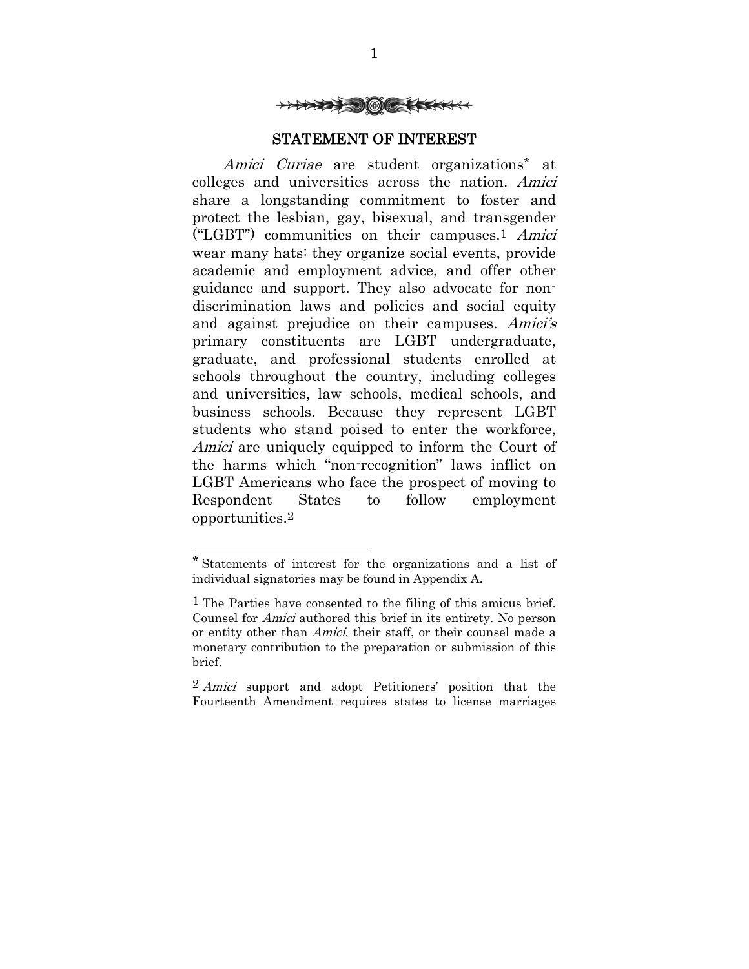

#### STATEMENT OF INTEREST

Amici Curiae are student organizations\* at colleges and universities across the nation. Amici share a longstanding commitment to foster and protect the lesbian, gay, bisexual, and transgender ("LGBT") communities on their campuses.1 Amici wear many hats: they organize social events, provide academic and employment advice, and offer other guidance and support. They also advocate for nondiscrimination laws and policies and social equity and against prejudice on their campuses. Amici's primary constituents are LGBT undergraduate, graduate, and professional students enrolled at schools throughout the country, including colleges and universities, law schools, medical schools, and business schools. Because they represent LGBT students who stand poised to enter the workforce, Amici are uniquely equipped to inform the Court of the harms which "non-recognition" laws inflict on LGBT Americans who face the prospect of moving to Respondent States to follow employment opportunities.2

<sup>\*</sup> Statements of interest for the organizations and a list of individual signatories may be found in Appendix A.

<sup>1</sup> The Parties have consented to the filing of this amicus brief. Counsel for Amici authored this brief in its entirety. No person or entity other than Amici, their staff, or their counsel made a monetary contribution to the preparation or submission of this brief.

<sup>2</sup> Amici support and adopt Petitioners' position that the Fourteenth Amendment requires states to license marriages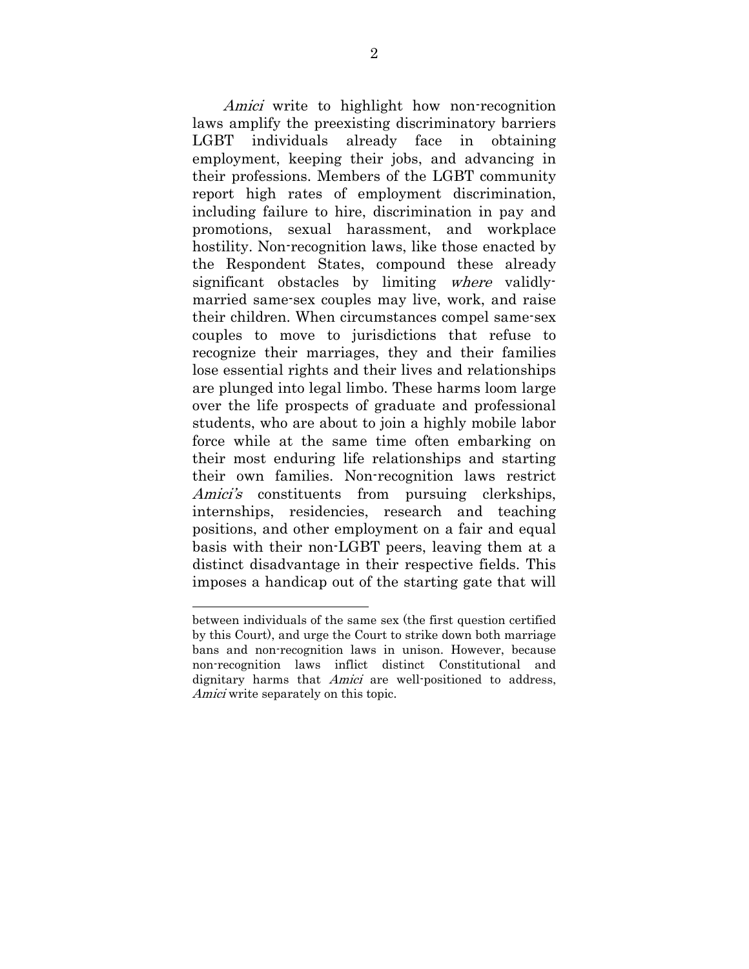Amici write to highlight how non-recognition laws amplify the preexisting discriminatory barriers LGBT individuals already face in obtaining employment, keeping their jobs, and advancing in their professions. Members of the LGBT community report high rates of employment discrimination, including failure to hire, discrimination in pay and promotions, sexual harassment, and workplace hostility. Non-recognition laws, like those enacted by the Respondent States, compound these already significant obstacles by limiting where validlymarried same-sex couples may live, work, and raise their children. When circumstances compel same-sex couples to move to jurisdictions that refuse to recognize their marriages, they and their families lose essential rights and their lives and relationships are plunged into legal limbo. These harms loom large over the life prospects of graduate and professional students, who are about to join a highly mobile labor force while at the same time often embarking on their most enduring life relationships and starting their own families. Non-recognition laws restrict Amici's constituents from pursuing clerkships, internships, residencies, research and teaching positions, and other employment on a fair and equal basis with their non-LGBT peers, leaving them at a distinct disadvantage in their respective fields. This imposes a handicap out of the starting gate that will

between individuals of the same sex (the first question certified by this Court), and urge the Court to strike down both marriage bans and non-recognition laws in unison. However, because non-recognition laws inflict distinct Constitutional and dignitary harms that Amici are well-positioned to address, Amici write separately on this topic.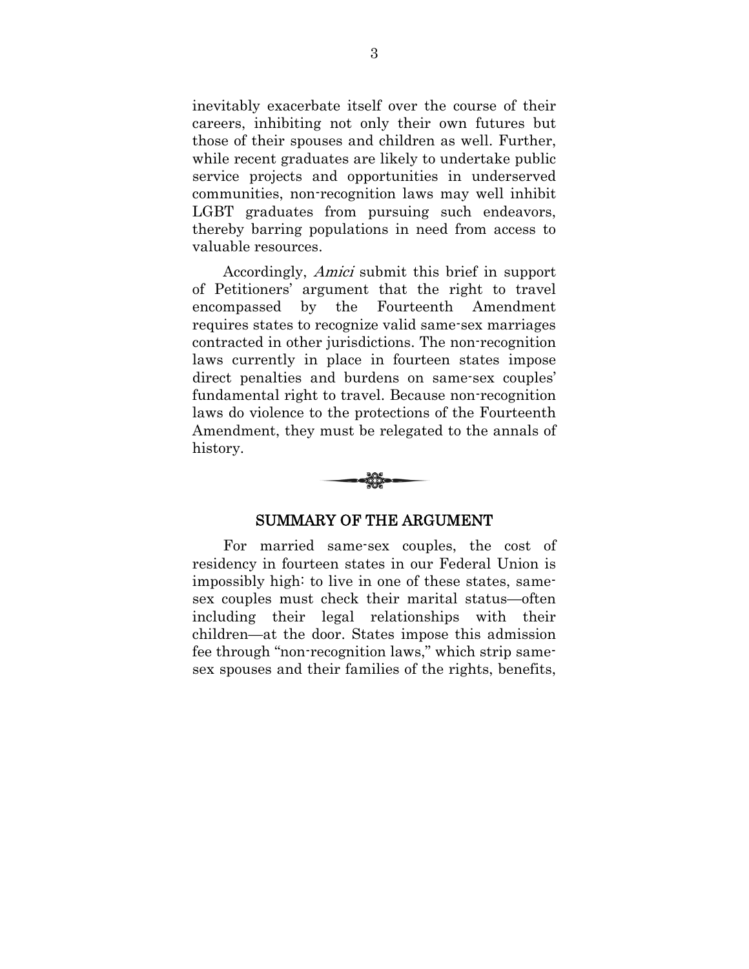inevitably exacerbate itself over the course of their careers, inhibiting not only their own futures but those of their spouses and children as well. Further, while recent graduates are likely to undertake public service projects and opportunities in underserved communities, non-recognition laws may well inhibit LGBT graduates from pursuing such endeavors, thereby barring populations in need from access to valuable resources.

Accordingly, Amici submit this brief in support of Petitioners' argument that the right to travel encompassed by the Fourteenth Amendment requires states to recognize valid same-sex marriages contracted in other jurisdictions. The non-recognition laws currently in place in fourteen states impose direct penalties and burdens on same-sex couples' fundamental right to travel. Because non-recognition laws do violence to the protections of the Fourteenth Amendment, they must be relegated to the annals of history.



#### SUMMARY OF THE ARGUMENT

For married same-sex couples, the cost of residency in fourteen states in our Federal Union is impossibly high: to live in one of these states, samesex couples must check their marital status—often including their legal relationships with their children—at the door. States impose this admission fee through "non-recognition laws," which strip samesex spouses and their families of the rights, benefits,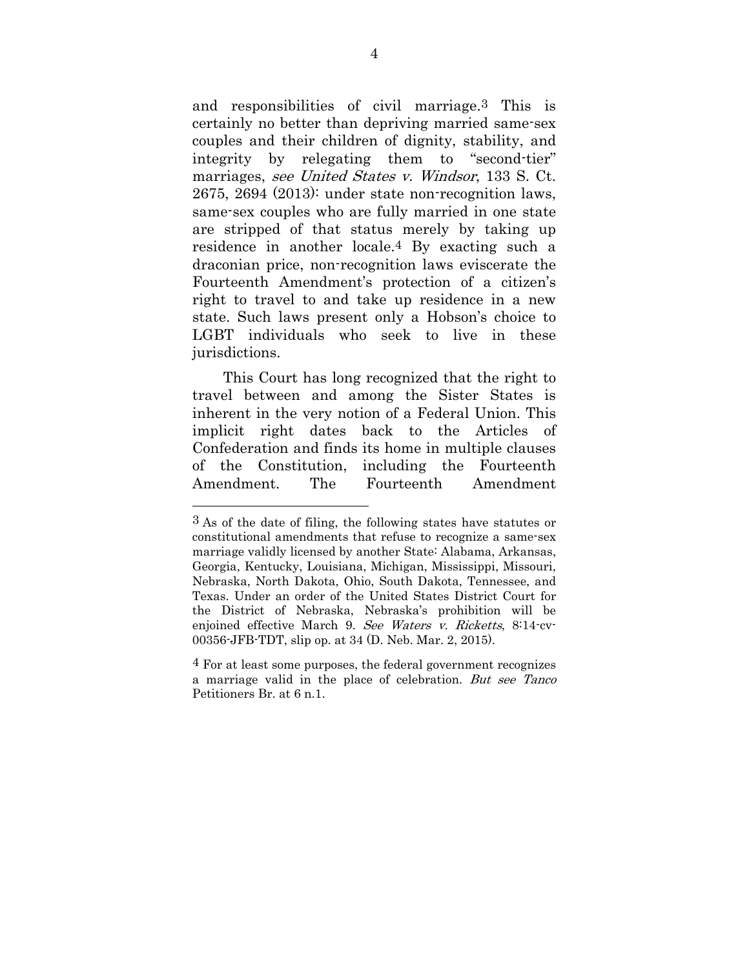and responsibilities of civil marriage.3 This is certainly no better than depriving married same-sex couples and their children of dignity, stability, and integrity by relegating them to "second-tier" marriages, see United States v. Windsor, 133 S. Ct. 2675, 2694 (2013): under state non-recognition laws, same-sex couples who are fully married in one state are stripped of that status merely by taking up residence in another locale.4 By exacting such a draconian price, non-recognition laws eviscerate the Fourteenth Amendment's protection of a citizen's right to travel to and take up residence in a new state. Such laws present only a Hobson's choice to LGBT individuals who seek to live in these jurisdictions.

This Court has long recognized that the right to travel between and among the Sister States is inherent in the very notion of a Federal Union. This implicit right dates back to the Articles of Confederation and finds its home in multiple clauses of the Constitution, including the Fourteenth Amendment. The Fourteenth Amendment

<sup>3</sup> As of the date of filing, the following states have statutes or constitutional amendments that refuse to recognize a same-sex marriage validly licensed by another State: Alabama, Arkansas, Georgia, Kentucky, Louisiana, Michigan, Mississippi, Missouri, Nebraska, North Dakota, Ohio, South Dakota, Tennessee, and Texas. Under an order of the United States District Court for the District of Nebraska, Nebraska's prohibition will be enjoined effective March 9. See Waters v. Ricketts, 8:14-cv-00356-JFB-TDT, slip op. at 34 (D. Neb. Mar. 2, 2015).

<sup>4</sup> For at least some purposes, the federal government recognizes a marriage valid in the place of celebration. But see Tanco Petitioners Br. at 6 n.1.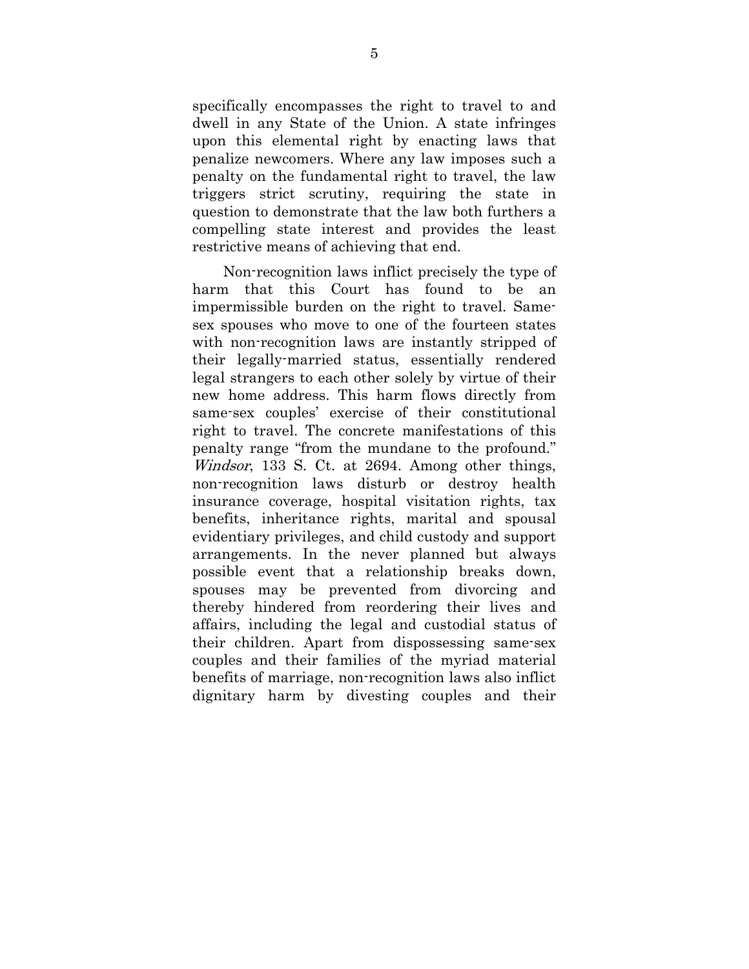specifically encompasses the right to travel to and dwell in any State of the Union. A state infringes upon this elemental right by enacting laws that penalize newcomers. Where any law imposes such a penalty on the fundamental right to travel, the law triggers strict scrutiny, requiring the state in question to demonstrate that the law both furthers a compelling state interest and provides the least restrictive means of achieving that end.

Non-recognition laws inflict precisely the type of harm that this Court has found to be an impermissible burden on the right to travel. Samesex spouses who move to one of the fourteen states with non-recognition laws are instantly stripped of their legally-married status, essentially rendered legal strangers to each other solely by virtue of their new home address. This harm flows directly from same-sex couples' exercise of their constitutional right to travel. The concrete manifestations of this penalty range "from the mundane to the profound." Windsor, 133 S. Ct. at 2694. Among other things, non-recognition laws disturb or destroy health insurance coverage, hospital visitation rights, tax benefits, inheritance rights, marital and spousal evidentiary privileges, and child custody and support arrangements. In the never planned but always possible event that a relationship breaks down, spouses may be prevented from divorcing and thereby hindered from reordering their lives and affairs, including the legal and custodial status of their children. Apart from dispossessing same-sex couples and their families of the myriad material benefits of marriage, non-recognition laws also inflict dignitary harm by divesting couples and their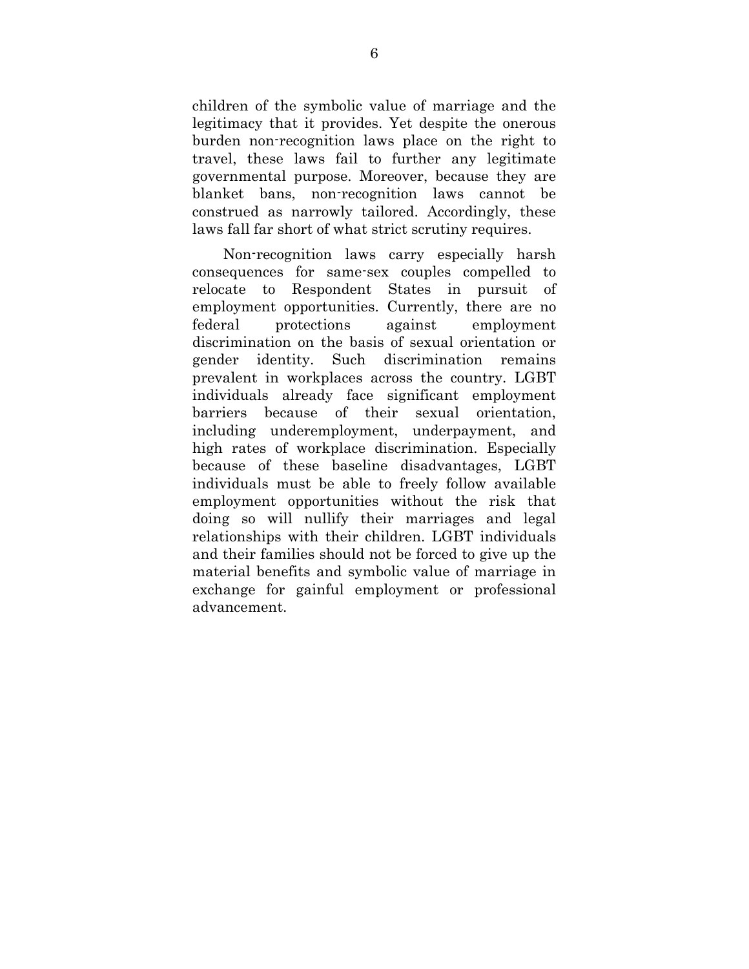children of the symbolic value of marriage and the legitimacy that it provides. Yet despite the onerous burden non-recognition laws place on the right to travel, these laws fail to further any legitimate governmental purpose. Moreover, because they are blanket bans, non-recognition laws cannot be construed as narrowly tailored. Accordingly, these laws fall far short of what strict scrutiny requires.

Non-recognition laws carry especially harsh consequences for same-sex couples compelled to relocate to Respondent States in pursuit of employment opportunities. Currently, there are no federal protections against employment discrimination on the basis of sexual orientation or gender identity. Such discrimination remains prevalent in workplaces across the country. LGBT individuals already face significant employment barriers because of their sexual orientation, including underemployment, underpayment, and high rates of workplace discrimination. Especially because of these baseline disadvantages, LGBT individuals must be able to freely follow available employment opportunities without the risk that doing so will nullify their marriages and legal relationships with their children. LGBT individuals and their families should not be forced to give up the material benefits and symbolic value of marriage in exchange for gainful employment or professional advancement.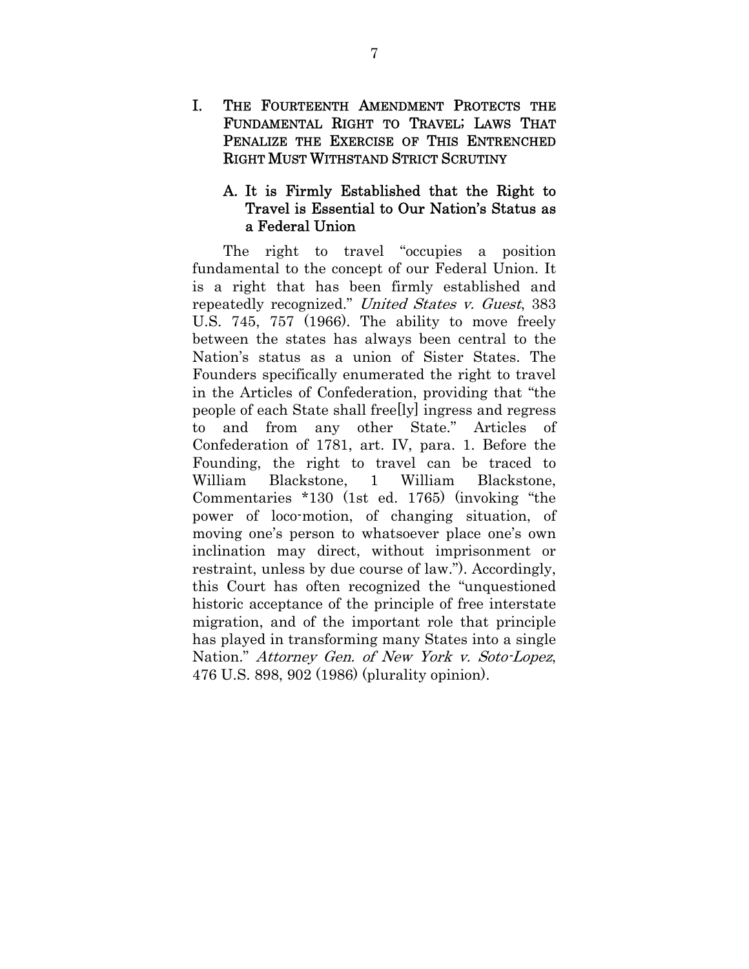I. THE FOURTEENTH AMENDMENT PROTECTS THE FUNDAMENTAL RIGHT TO TRAVEL; LAWS THAT PENALIZE THE EXERCISE OF THIS ENTRENCHED RIGHT MUST WITHSTAND STRICT SCRUTINY

### A. It is Firmly Established that the Right to Travel is Essential to Our Nation's Status as a Federal Union

The right to travel "occupies a position fundamental to the concept of our Federal Union. It is a right that has been firmly established and repeatedly recognized." United States v. Guest, 383 U.S. 745, 757 (1966). The ability to move freely between the states has always been central to the Nation's status as a union of Sister States. The Founders specifically enumerated the right to travel in the Articles of Confederation, providing that "the people of each State shall free[ly] ingress and regress to and from any other State." Articles of Confederation of 1781, art. IV, para. 1. Before the Founding, the right to travel can be traced to William Blackstone, 1 William Blackstone, Commentaries \*130 (1st ed. 1765) (invoking "the power of loco-motion, of changing situation, of moving one's person to whatsoever place one's own inclination may direct, without imprisonment or restraint, unless by due course of law."). Accordingly, this Court has often recognized the "unquestioned historic acceptance of the principle of free interstate migration, and of the important role that principle has played in transforming many States into a single Nation." Attorney Gen. of New York v. Soto-Lopez, 476 U.S. 898, 902 (1986) (plurality opinion).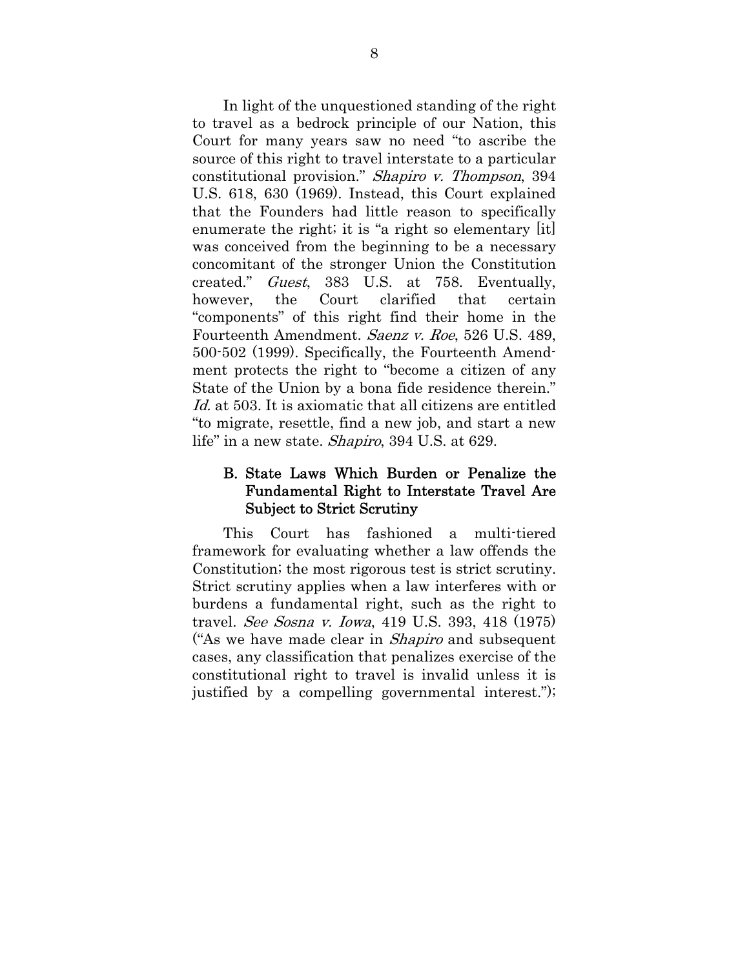In light of the unquestioned standing of the right to travel as a bedrock principle of our Nation, this Court for many years saw no need "to ascribe the source of this right to travel interstate to a particular constitutional provision." Shapiro v. Thompson, 394 U.S. 618, 630 (1969). Instead, this Court explained that the Founders had little reason to specifically enumerate the right; it is "a right so elementary [it] was conceived from the beginning to be a necessary concomitant of the stronger Union the Constitution created." Guest, 383 U.S. at 758. Eventually, however, the Court clarified that certain "components" of this right find their home in the Fourteenth Amendment. Saenz v. Roe, 526 U.S. 489, 500-502 (1999). Specifically, the Fourteenth Amendment protects the right to "become a citizen of any State of the Union by a bona fide residence therein." Id. at 503. It is axiomatic that all citizens are entitled "to migrate, resettle, find a new job, and start a new life" in a new state. Shapiro, 394 U.S. at 629.

### B. State Laws Which Burden or Penalize the Fundamental Right to Interstate Travel Are Subject to Strict Scrutiny

This Court has fashioned a multi-tiered framework for evaluating whether a law offends the Constitution; the most rigorous test is strict scrutiny. Strict scrutiny applies when a law interferes with or burdens a fundamental right, such as the right to travel. See Sosna v. Iowa, 419 U.S. 393, 418 (1975) ("As we have made clear in *Shapiro* and subsequent cases, any classification that penalizes exercise of the constitutional right to travel is invalid unless it is justified by a compelling governmental interest.");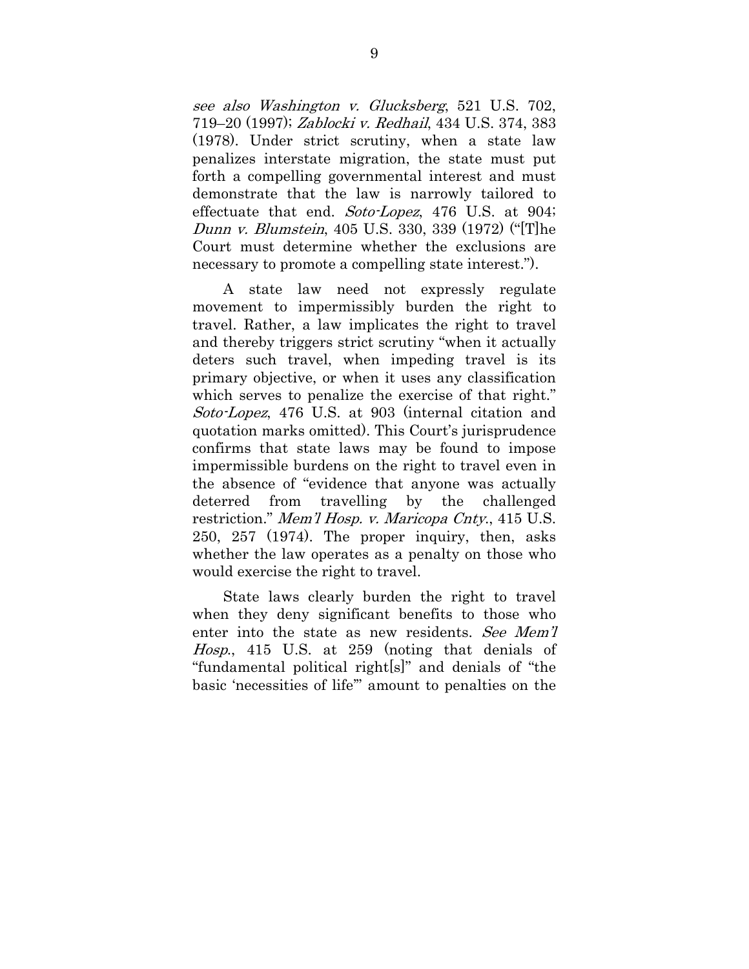see also Washington v. Glucksberg, 521 U.S. 702, 719–20 (1997); Zablocki v. Redhail, 434 U.S. 374, 383 (1978). Under strict scrutiny, when a state law penalizes interstate migration, the state must put forth a compelling governmental interest and must demonstrate that the law is narrowly tailored to effectuate that end. Soto-Lopez, 476 U.S. at 904; Dunn v. Blumstein, 405 U.S. 330, 339 (1972) ("[T]he Court must determine whether the exclusions are necessary to promote a compelling state interest.").

A state law need not expressly regulate movement to impermissibly burden the right to travel. Rather, a law implicates the right to travel and thereby triggers strict scrutiny "when it actually deters such travel, when impeding travel is its primary objective, or when it uses any classification which serves to penalize the exercise of that right." Soto-Lopez, 476 U.S. at 903 (internal citation and quotation marks omitted). This Court's jurisprudence confirms that state laws may be found to impose impermissible burdens on the right to travel even in the absence of "evidence that anyone was actually deterred from travelling by the challenged restriction." Mem'l Hosp. v. Maricopa Cnty., 415 U.S. 250, 257 (1974). The proper inquiry, then, asks whether the law operates as a penalty on those who would exercise the right to travel.

State laws clearly burden the right to travel when they deny significant benefits to those who enter into the state as new residents. See Mem'l Hosp., 415 U.S. at 259 (noting that denials of "fundamental political right[s]" and denials of "the basic 'necessities of life'" amount to penalties on the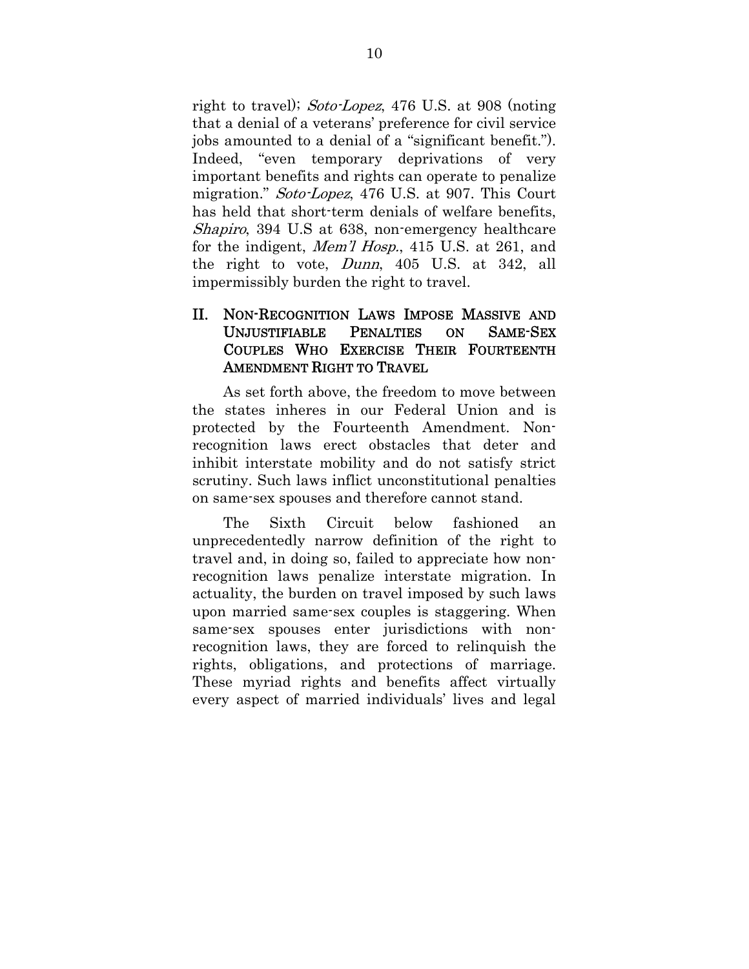right to travel); Soto-Lopez, 476 U.S. at 908 (noting that a denial of a veterans' preference for civil service jobs amounted to a denial of a "significant benefit."). Indeed, "even temporary deprivations of very important benefits and rights can operate to penalize migration." *Soto-Lopez*, 476 U.S. at 907. This Court has held that short-term denials of welfare benefits, Shapiro, 394 U.S at 638, non-emergency healthcare for the indigent, *Mem'l Hosp.*, 415 U.S. at 261, and the right to vote, Dunn, 405 U.S. at 342, all impermissibly burden the right to travel.

### II. NON-RECOGNITION LAWS IMPOSE MASSIVE AND UNJUSTIFIABLE PENALTIES ON SAME-SEX COUPLES WHO EXERCISE THEIR FOURTEENTH AMENDMENT RIGHT TO TRAVEL

As set forth above, the freedom to move between the states inheres in our Federal Union and is protected by the Fourteenth Amendment. Nonrecognition laws erect obstacles that deter and inhibit interstate mobility and do not satisfy strict scrutiny. Such laws inflict unconstitutional penalties on same-sex spouses and therefore cannot stand.

The Sixth Circuit below fashioned an unprecedentedly narrow definition of the right to travel and, in doing so, failed to appreciate how nonrecognition laws penalize interstate migration. In actuality, the burden on travel imposed by such laws upon married same-sex couples is staggering. When same-sex spouses enter jurisdictions with nonrecognition laws, they are forced to relinquish the rights, obligations, and protections of marriage. These myriad rights and benefits affect virtually every aspect of married individuals' lives and legal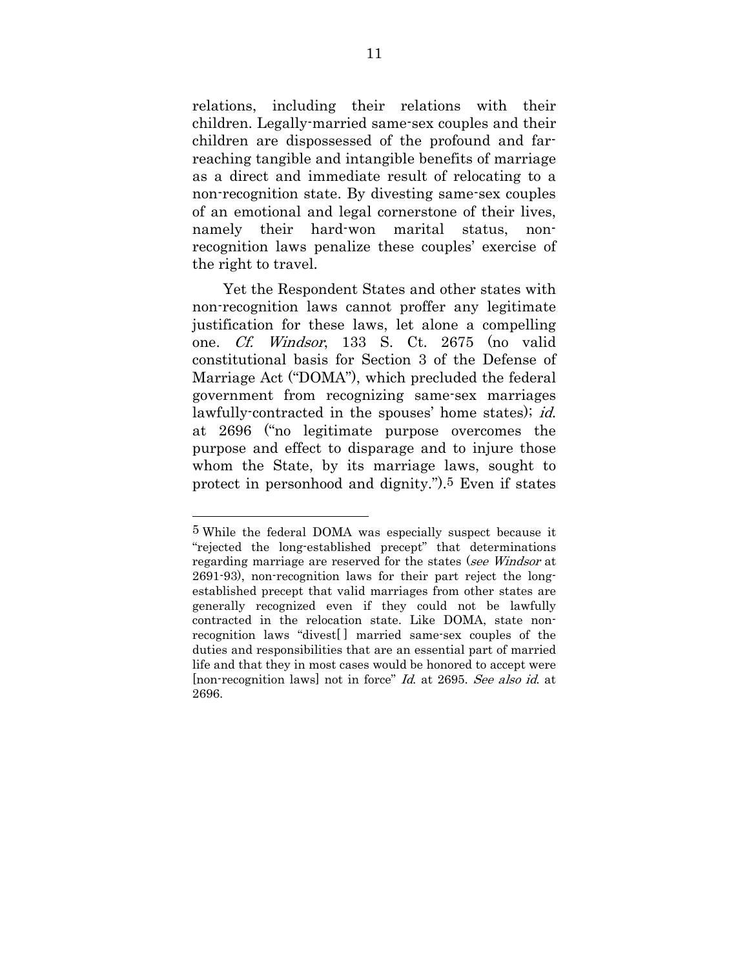relations, including their relations with their children. Legally-married same-sex couples and their children are dispossessed of the profound and farreaching tangible and intangible benefits of marriage as a direct and immediate result of relocating to a non-recognition state. By divesting same-sex couples of an emotional and legal cornerstone of their lives, namely their hard-won marital status, nonrecognition laws penalize these couples' exercise of the right to travel.

Yet the Respondent States and other states with non-recognition laws cannot proffer any legitimate justification for these laws, let alone a compelling one. Cf. Windsor, 133 S. Ct. 2675 (no valid constitutional basis for Section 3 of the Defense of Marriage Act ("DOMA"), which precluded the federal government from recognizing same-sex marriages lawfully-contracted in the spouses' home states); *id.* at 2696 ("no legitimate purpose overcomes the purpose and effect to disparage and to injure those whom the State, by its marriage laws, sought to protect in personhood and dignity.").5 Even if states

<sup>5</sup> While the federal DOMA was especially suspect because it "rejected the long-established precept" that determinations regarding marriage are reserved for the states (see Windsor at 2691-93), non-recognition laws for their part reject the longestablished precept that valid marriages from other states are generally recognized even if they could not be lawfully contracted in the relocation state. Like DOMA, state nonrecognition laws "divest[ ] married same-sex couples of the duties and responsibilities that are an essential part of married life and that they in most cases would be honored to accept were [non-recognition laws] not in force" Id. at 2695. See also id. at 2696.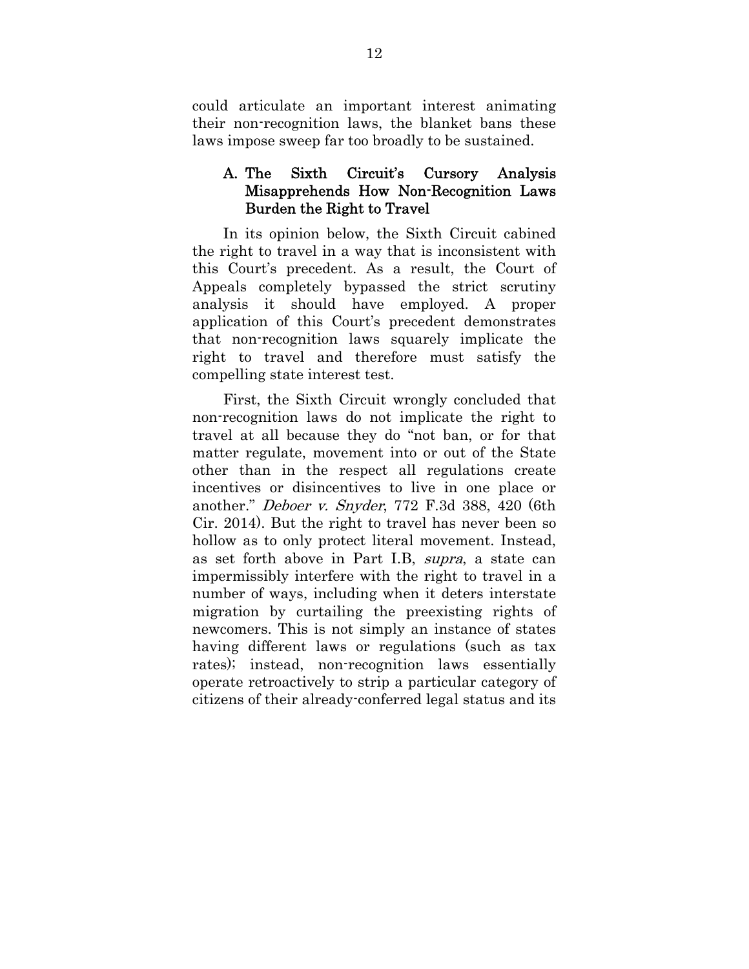could articulate an important interest animating their non-recognition laws, the blanket bans these laws impose sweep far too broadly to be sustained.

### A. The Sixth Circuit's Cursory Analysis Misapprehends How Non-Recognition Laws Burden the Right to Travel

In its opinion below, the Sixth Circuit cabined the right to travel in a way that is inconsistent with this Court's precedent. As a result, the Court of Appeals completely bypassed the strict scrutiny analysis it should have employed. A proper application of this Court's precedent demonstrates that non-recognition laws squarely implicate the right to travel and therefore must satisfy the compelling state interest test.

First, the Sixth Circuit wrongly concluded that non-recognition laws do not implicate the right to travel at all because they do "not ban, or for that matter regulate, movement into or out of the State other than in the respect all regulations create incentives or disincentives to live in one place or another." Deboer v. Snyder, 772 F.3d 388, 420 (6th Cir. 2014). But the right to travel has never been so hollow as to only protect literal movement. Instead, as set forth above in Part I.B, supra, a state can impermissibly interfere with the right to travel in a number of ways, including when it deters interstate migration by curtailing the preexisting rights of newcomers. This is not simply an instance of states having different laws or regulations (such as tax rates); instead, non-recognition laws essentially operate retroactively to strip a particular category of citizens of their already-conferred legal status and its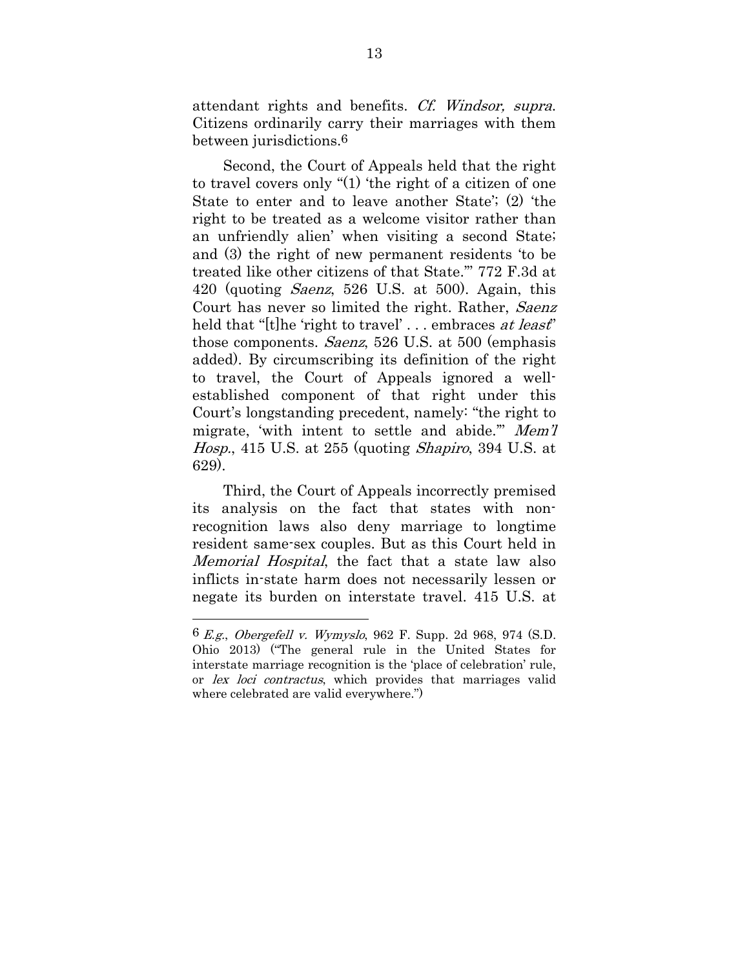attendant rights and benefits. Cf. Windsor, supra. Citizens ordinarily carry their marriages with them between jurisdictions.6

Second, the Court of Appeals held that the right to travel covers only "(1) 'the right of a citizen of one State to enter and to leave another State'; (2) 'the right to be treated as a welcome visitor rather than an unfriendly alien' when visiting a second State; and (3) the right of new permanent residents 'to be treated like other citizens of that State.'" 772 F.3d at 420 (quoting Saenz, 526 U.S. at 500). Again, this Court has never so limited the right. Rather, Saenz held that "[t]he 'right to travel' ... embraces at least" those components. Saenz, 526 U.S. at 500 (emphasis added). By circumscribing its definition of the right to travel, the Court of Appeals ignored a wellestablished component of that right under this Court's longstanding precedent, namely: "the right to migrate, 'with intent to settle and abide.'" Mem'l Hosp., 415 U.S. at 255 (quoting Shapiro, 394 U.S. at 629).

Third, the Court of Appeals incorrectly premised its analysis on the fact that states with nonrecognition laws also deny marriage to longtime resident same-sex couples. But as this Court held in Memorial Hospital, the fact that a state law also inflicts in-state harm does not necessarily lessen or negate its burden on interstate travel. 415 U.S. at

<sup>6</sup> E.g., Obergefell v. Wymyslo, 962 F. Supp. 2d 968, 974 (S.D. Ohio 2013) ("The general rule in the United States for interstate marriage recognition is the 'place of celebration' rule, or lex loci contractus, which provides that marriages valid where celebrated are valid everywhere.")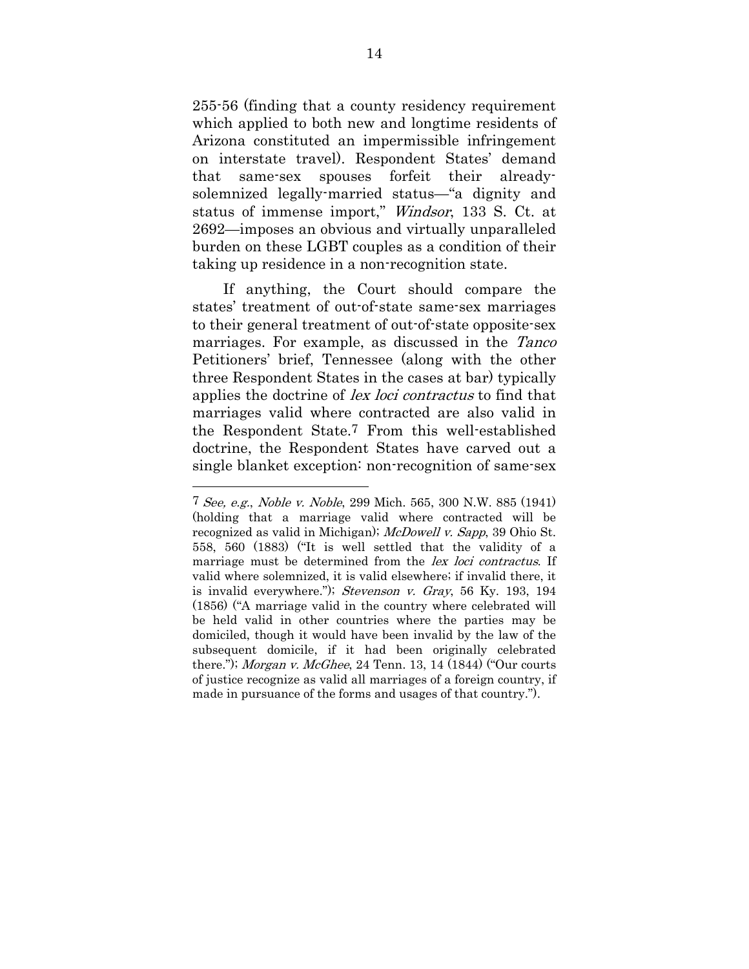255-56 (finding that a county residency requirement which applied to both new and longtime residents of Arizona constituted an impermissible infringement on interstate travel). Respondent States' demand that same-sex spouses forfeit their alreadysolemnized legally-married status—"a dignity and status of immense import," Windsor, 133 S. Ct. at 2692—imposes an obvious and virtually unparalleled burden on these LGBT couples as a condition of their taking up residence in a non-recognition state.

If anything, the Court should compare the states' treatment of out-of-state same-sex marriages to their general treatment of out-of-state opposite-sex marriages. For example, as discussed in the Tanco Petitioners' brief, Tennessee (along with the other three Respondent States in the cases at bar) typically applies the doctrine of *lex loci contractus* to find that marriages valid where contracted are also valid in the Respondent State.7 From this well-established doctrine, the Respondent States have carved out a single blanket exception: non-recognition of same-sex

<sup>7</sup> See, e.g., Noble v. Noble, 299 Mich. 565, 300 N.W. 885 (1941) (holding that a marriage valid where contracted will be recognized as valid in Michigan); McDowell v. Sapp, 39 Ohio St. 558, 560 (1883) ("It is well settled that the validity of a marriage must be determined from the *lex loci contractus*. If valid where solemnized, it is valid elsewhere; if invalid there, it is invalid everywhere."); Stevenson v. Gray, 56 Ky. 193, 194 (1856) ("A marriage valid in the country where celebrated will be held valid in other countries where the parties may be domiciled, though it would have been invalid by the law of the subsequent domicile, if it had been originally celebrated there."); Morgan v. McGhee, 24 Tenn. 13, 14 (1844) ("Our courts of justice recognize as valid all marriages of a foreign country, if made in pursuance of the forms and usages of that country.").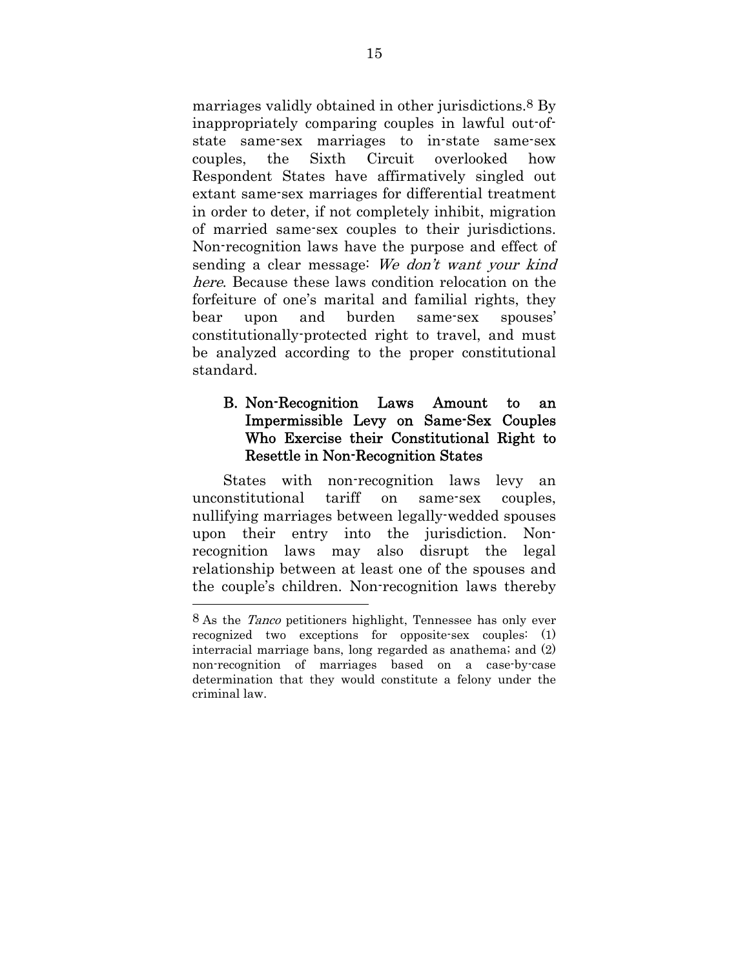marriages validly obtained in other jurisdictions.8 By inappropriately comparing couples in lawful out-ofstate same-sex marriages to in-state same-sex couples, the Sixth Circuit overlooked how Respondent States have affirmatively singled out extant same-sex marriages for differential treatment in order to deter, if not completely inhibit, migration of married same-sex couples to their jurisdictions. Non-recognition laws have the purpose and effect of sending a clear message: We don't want your kind here. Because these laws condition relocation on the forfeiture of one's marital and familial rights, they bear upon and burden same-sex spouses' constitutionally-protected right to travel, and must be analyzed according to the proper constitutional standard.

### B. Non-Recognition Laws Amount to an Impermissible Levy on Same-Sex Couples Who Exercise their Constitutional Right to Resettle in Non-Recognition States

States with non-recognition laws levy an unconstitutional tariff on same-sex couples, nullifying marriages between legally-wedded spouses upon their entry into the jurisdiction. Nonrecognition laws may also disrupt the legal relationship between at least one of the spouses and the couple's children. Non-recognition laws thereby

<sup>8</sup> As the Tanco petitioners highlight, Tennessee has only ever recognized two exceptions for opposite-sex couples: (1) interracial marriage bans, long regarded as anathema; and (2) non-recognition of marriages based on a case-by-case determination that they would constitute a felony under the criminal law.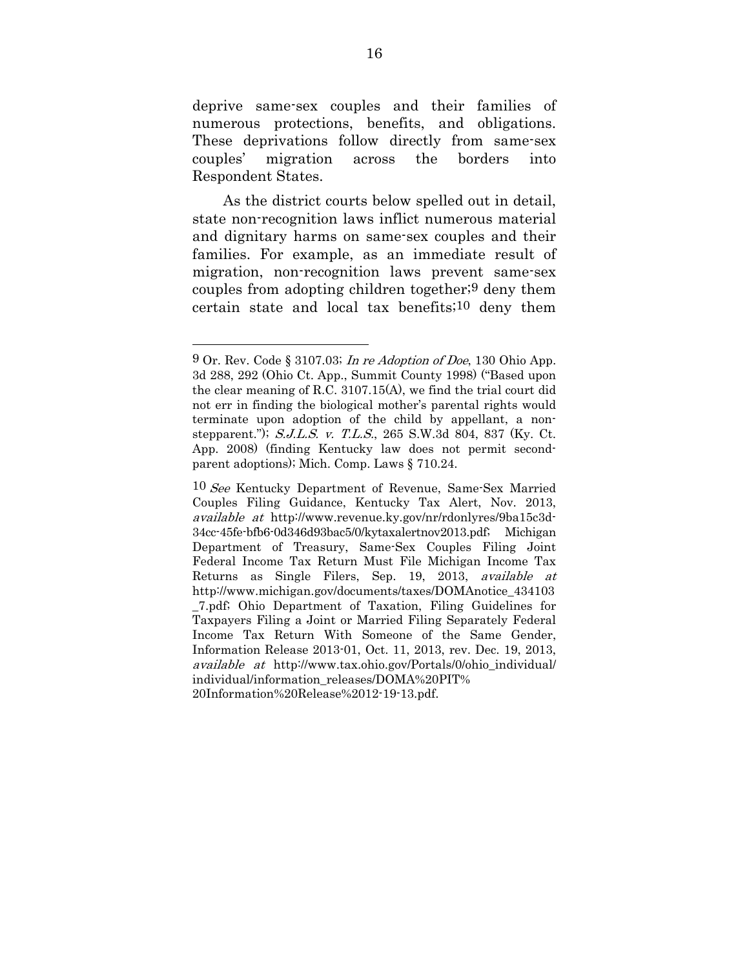deprive same-sex couples and their families of numerous protections, benefits, and obligations. These deprivations follow directly from same-sex couples' migration across the borders into Respondent States.

As the district courts below spelled out in detail, state non-recognition laws inflict numerous material and dignitary harms on same-sex couples and their families. For example, as an immediate result of migration, non-recognition laws prevent same-sex couples from adopting children together;9 deny them certain state and local tax benefits;10 deny them

 $9$  Or. Rev. Code § 3107.03; In re Adoption of Doe, 130 Ohio App. 3d 288, 292 (Ohio Ct. App., Summit County 1998) ("Based upon the clear meaning of R.C. 3107.15(A), we find the trial court did not err in finding the biological mother's parental rights would terminate upon adoption of the child by appellant, a nonstepparent."); S.J.L.S. v. T.L.S., 265 S.W.3d 804, 837 (Ky. Ct. App. 2008) (finding Kentucky law does not permit secondparent adoptions); Mich. Comp. Laws § 710.24.

<sup>10</sup> See Kentucky Department of Revenue, Same-Sex Married Couples Filing Guidance, Kentucky Tax Alert, Nov. 2013, available at http://www.revenue.ky.gov/nr/rdonlyres/9ba15c3d-34cc-45fe-bfb6-0d346d93bac5/0/kytaxalertnov2013.pdf; Michigan Department of Treasury, Same-Sex Couples Filing Joint Federal Income Tax Return Must File Michigan Income Tax Returns as Single Filers, Sep. 19, 2013, available at http://www.michigan.gov/documents/taxes/DOMAnotice\_434103 \_7.pdf; Ohio Department of Taxation, Filing Guidelines for Taxpayers Filing a Joint or Married Filing Separately Federal Income Tax Return With Someone of the Same Gender, Information Release 2013-01, Oct. 11, 2013, rev. Dec. 19, 2013, available at http://www.tax.ohio.gov/Portals/0/ohio\_individual/ individual/information\_releases/DOMA%20PIT% 20Information%20Release%2012-19-13.pdf.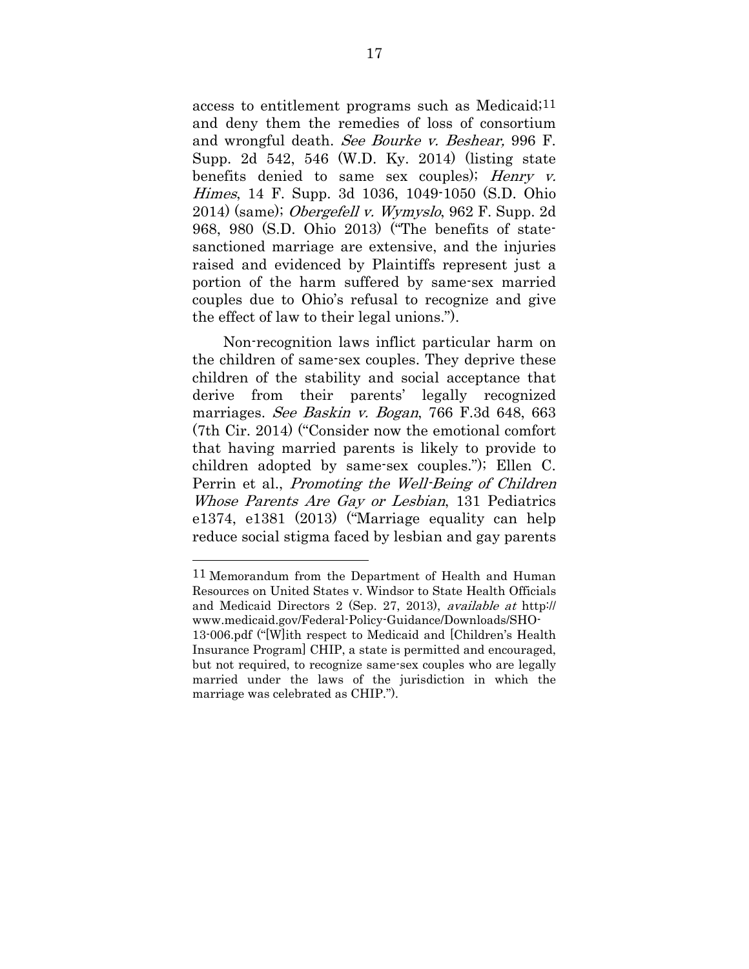access to entitlement programs such as Medicaid;11 and deny them the remedies of loss of consortium and wrongful death. See Bourke v. Beshear, 996 F. Supp. 2d 542, 546 (W.D. Ky. 2014) (listing state benefits denied to same sex couples); Henry  $v$ . Himes, 14 F. Supp. 3d 1036, 1049-1050 (S.D. Ohio  $2014$ ) (same); *Obergefell v. Wymyslo*, 962 F. Supp. 2d 968, 980 (S.D. Ohio 2013) ("The benefits of statesanctioned marriage are extensive, and the injuries raised and evidenced by Plaintiffs represent just a portion of the harm suffered by same-sex married couples due to Ohio's refusal to recognize and give the effect of law to their legal unions.").

Non-recognition laws inflict particular harm on the children of same-sex couples. They deprive these children of the stability and social acceptance that derive from their parents' legally recognized marriages. See Baskin v. Bogan, 766 F.3d 648, 663 (7th Cir. 2014) ("Consider now the emotional comfort that having married parents is likely to provide to children adopted by same-sex couples."); Ellen C. Perrin et al., Promoting the Well-Being of Children Whose Parents Are Gay or Lesbian, 131 Pediatrics e1374, e1381 (2013) ("Marriage equality can help reduce social stigma faced by lesbian and gay parents

11 Memorandum from the Department of Health and Human Resources on United States v. Windsor to State Health Officials and Medicaid Directors 2 (Sep. 27, 2013), available at http:// www.medicaid.gov/Federal-Policy-Guidance/Downloads/SHO-13-006.pdf ("[W]ith respect to Medicaid and [Children's Health Insurance Program] CHIP, a state is permitted and encouraged, but not required, to recognize same-sex couples who are legally

married under the laws of the jurisdiction in which the marriage was celebrated as CHIP.").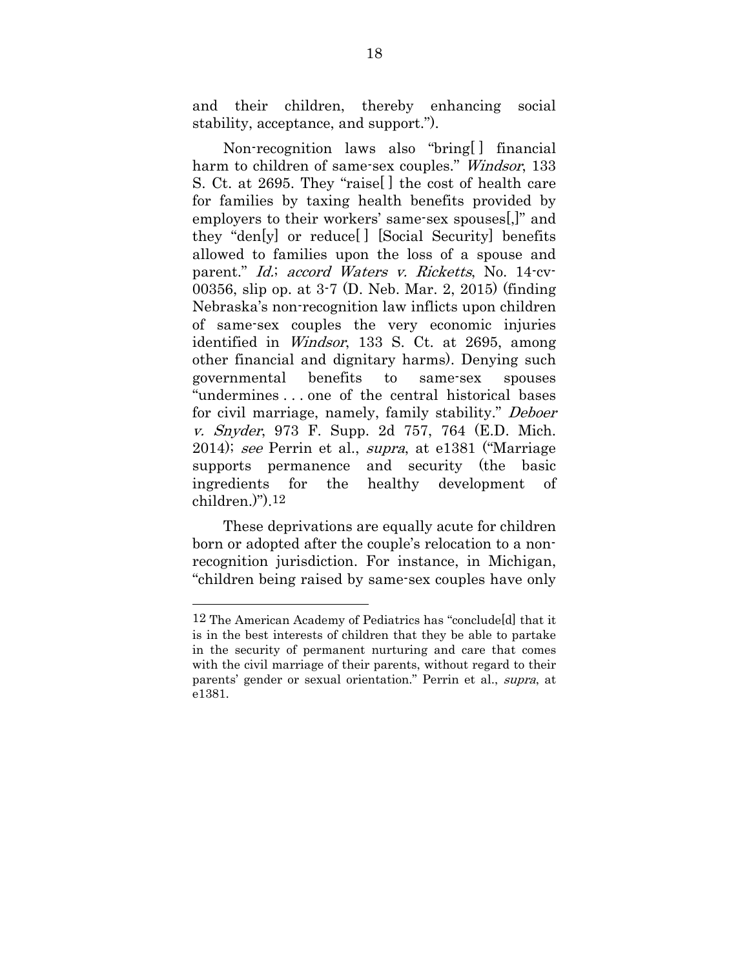and their children, thereby enhancing social stability, acceptance, and support.").

Non-recognition laws also "bring[ ] financial harm to children of same-sex couples." Windsor, 133 S. Ct. at 2695. They "raise[ ] the cost of health care for families by taxing health benefits provided by employers to their workers' same-sex spouses[,]" and they "den[y] or reduce[ ] [Social Security] benefits allowed to families upon the loss of a spouse and parent." Id.; accord Waters v. Ricketts, No. 14-cv-00356, slip op. at 3-7 (D. Neb. Mar. 2, 2015) (finding Nebraska's non-recognition law inflicts upon children of same-sex couples the very economic injuries identified in *Windsor*, 133 S. Ct. at 2695, among other financial and dignitary harms). Denying such governmental benefits to same-sex spouses "undermines . . . one of the central historical bases for civil marriage, namely, family stability." Deboer v. Snyder, 973 F. Supp. 2d 757, 764 (E.D. Mich. 2014); see Perrin et al., supra, at e1381 ("Marriage supports permanence and security (the basic ingredients for the healthy development of children.)").12

These deprivations are equally acute for children born or adopted after the couple's relocation to a nonrecognition jurisdiction. For instance, in Michigan, "children being raised by same-sex couples have only

<sup>12</sup> The American Academy of Pediatrics has "conclude[d] that it is in the best interests of children that they be able to partake in the security of permanent nurturing and care that comes with the civil marriage of their parents, without regard to their parents' gender or sexual orientation." Perrin et al., supra, at e1381.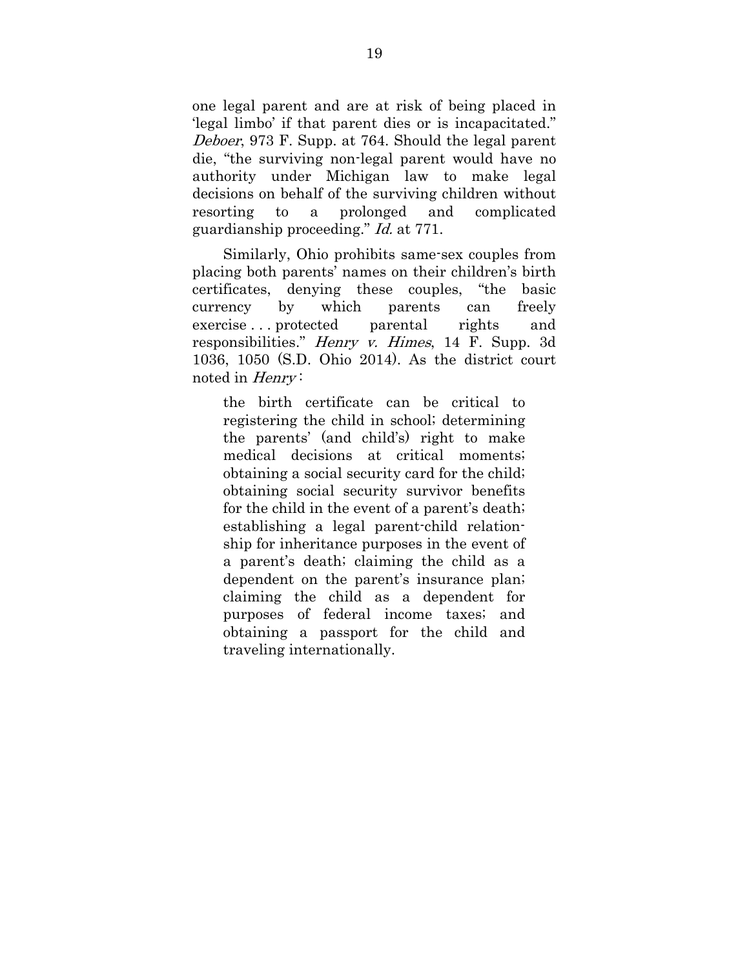one legal parent and are at risk of being placed in 'legal limbo' if that parent dies or is incapacitated." Deboer, 973 F. Supp. at 764. Should the legal parent die, "the surviving non-legal parent would have no authority under Michigan law to make legal decisions on behalf of the surviving children without resorting to a prolonged and complicated guardianship proceeding." Id. at 771.

Similarly, Ohio prohibits same-sex couples from placing both parents' names on their children's birth certificates, denying these couples, "the basic currency by which parents can freely exercise . . . protected parental rights and responsibilities." Henry v. Himes, 14 F. Supp. 3d 1036, 1050 (S.D. Ohio 2014). As the district court noted in *Henry*:

the birth certificate can be critical to registering the child in school; determining the parents' (and child's) right to make medical decisions at critical moments; obtaining a social security card for the child; obtaining social security survivor benefits for the child in the event of a parent's death; establishing a legal parent-child relationship for inheritance purposes in the event of a parent's death; claiming the child as a dependent on the parent's insurance plan; claiming the child as a dependent for purposes of federal income taxes; and obtaining a passport for the child and traveling internationally.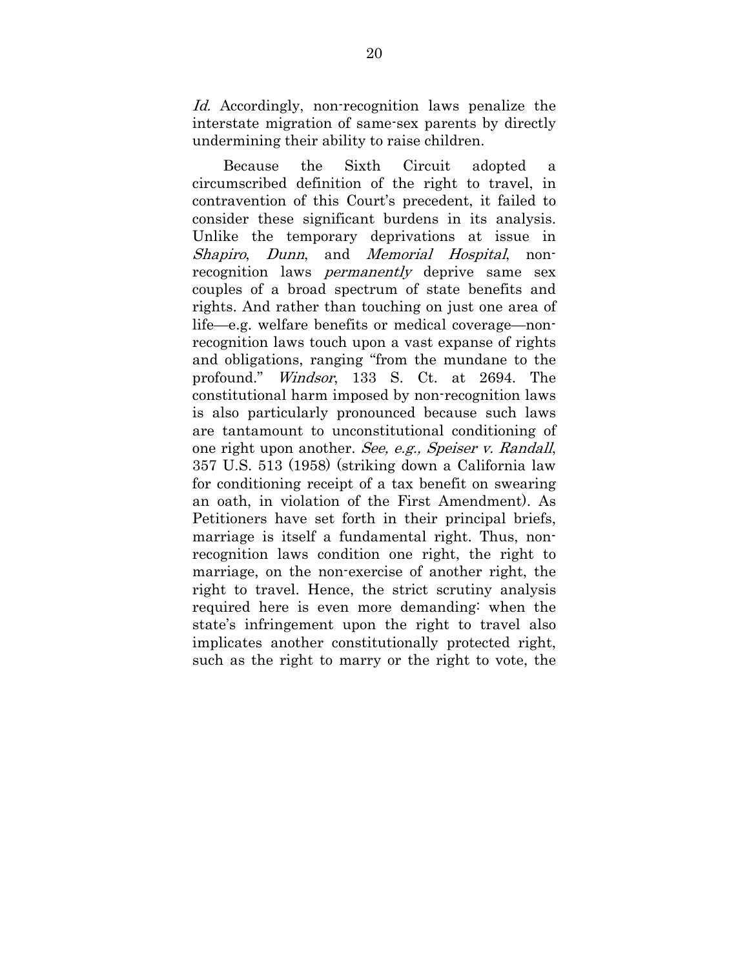Id. Accordingly, non-recognition laws penalize the interstate migration of same-sex parents by directly undermining their ability to raise children.

Because the Sixth Circuit adopted a circumscribed definition of the right to travel, in contravention of this Court's precedent, it failed to consider these significant burdens in its analysis. Unlike the temporary deprivations at issue in Shapiro, Dunn, and Memorial Hospital, nonrecognition laws *permanently* deprive same sex couples of a broad spectrum of state benefits and rights. And rather than touching on just one area of life—e.g. welfare benefits or medical coverage—nonrecognition laws touch upon a vast expanse of rights and obligations, ranging "from the mundane to the profound." Windsor, 133 S. Ct. at 2694. The constitutional harm imposed by non-recognition laws is also particularly pronounced because such laws are tantamount to unconstitutional conditioning of one right upon another. See, e.g., Speiser v. Randall, 357 U.S. 513 (1958) (striking down a California law for conditioning receipt of a tax benefit on swearing an oath, in violation of the First Amendment). As Petitioners have set forth in their principal briefs, marriage is itself a fundamental right. Thus, nonrecognition laws condition one right, the right to marriage, on the non-exercise of another right, the right to travel. Hence, the strict scrutiny analysis required here is even more demanding: when the state's infringement upon the right to travel also implicates another constitutionally protected right, such as the right to marry or the right to vote, the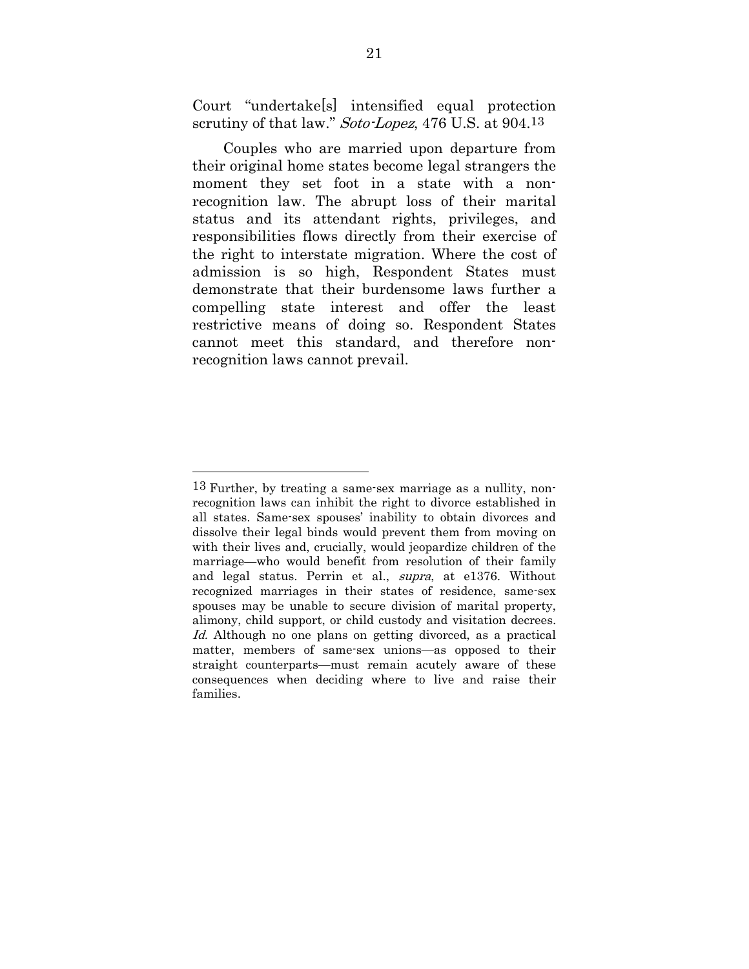Court "undertake[s] intensified equal protection scrutiny of that law." Soto-Lopez, 476 U.S. at 904.13

Couples who are married upon departure from their original home states become legal strangers the moment they set foot in a state with a nonrecognition law. The abrupt loss of their marital status and its attendant rights, privileges, and responsibilities flows directly from their exercise of the right to interstate migration. Where the cost of admission is so high, Respondent States must demonstrate that their burdensome laws further a compelling state interest and offer the least restrictive means of doing so. Respondent States cannot meet this standard, and therefore nonrecognition laws cannot prevail.

<sup>13</sup> Further, by treating a same-sex marriage as a nullity, nonrecognition laws can inhibit the right to divorce established in all states. Same-sex spouses' inability to obtain divorces and dissolve their legal binds would prevent them from moving on with their lives and, crucially, would jeopardize children of the marriage—who would benefit from resolution of their family and legal status. Perrin et al., supra, at e1376. Without recognized marriages in their states of residence, same-sex spouses may be unable to secure division of marital property, alimony, child support, or child custody and visitation decrees. Id. Although no one plans on getting divorced, as a practical matter, members of same-sex unions—as opposed to their straight counterparts—must remain acutely aware of these consequences when deciding where to live and raise their families.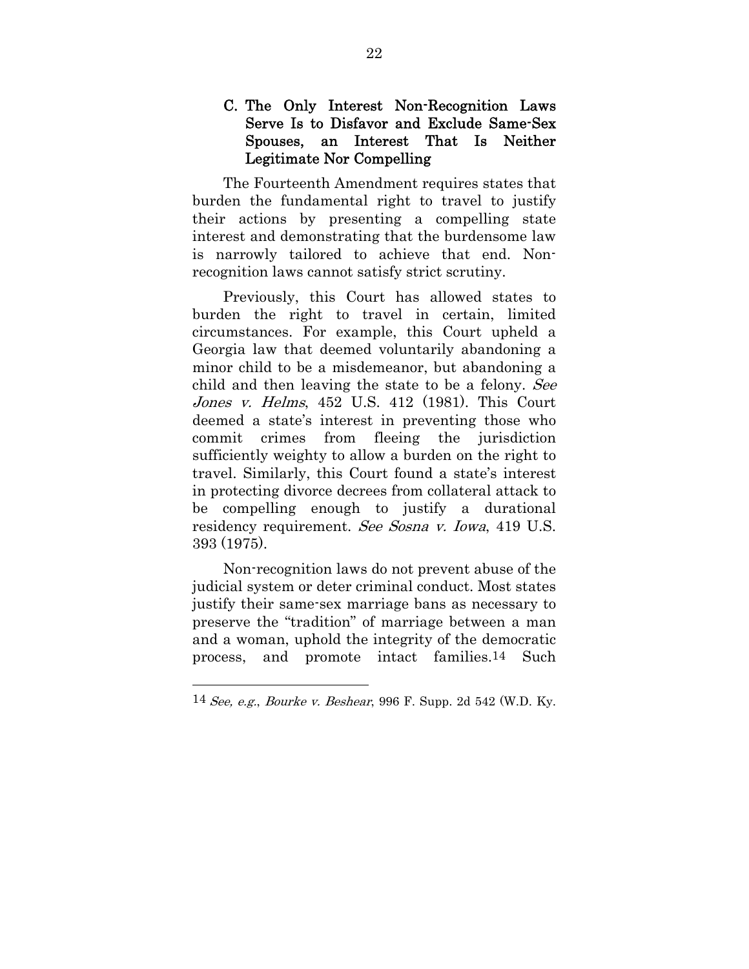### C. The Only Interest Non-Recognition Laws Serve Is to Disfavor and Exclude Same-Sex Spouses, an Interest That Is Neither Legitimate Nor Compelling

The Fourteenth Amendment requires states that burden the fundamental right to travel to justify their actions by presenting a compelling state interest and demonstrating that the burdensome law is narrowly tailored to achieve that end. Nonrecognition laws cannot satisfy strict scrutiny.

Previously, this Court has allowed states to burden the right to travel in certain, limited circumstances. For example, this Court upheld a Georgia law that deemed voluntarily abandoning a minor child to be a misdemeanor, but abandoning a child and then leaving the state to be a felony. See Jones v. Helms, 452 U.S. 412 (1981). This Court deemed a state's interest in preventing those who commit crimes from fleeing the jurisdiction sufficiently weighty to allow a burden on the right to travel. Similarly, this Court found a state's interest in protecting divorce decrees from collateral attack to be compelling enough to justify a durational residency requirement. See Sosna v. Iowa, 419 U.S. 393 (1975).

Non-recognition laws do not prevent abuse of the judicial system or deter criminal conduct. Most states justify their same-sex marriage bans as necessary to preserve the "tradition" of marriage between a man and a woman, uphold the integrity of the democratic process, and promote intact families.14 Such

 $14$  See, e.g., Bourke v. Beshear, 996 F. Supp. 2d 542 (W.D. Ky.)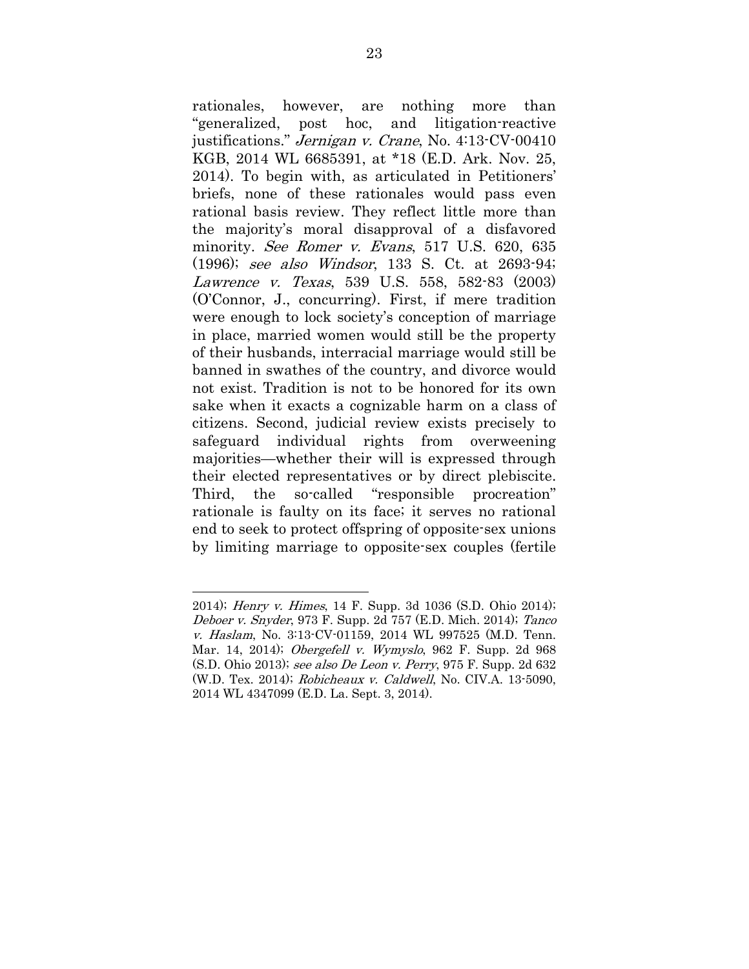rationales, however, are nothing more than "generalized, post hoc, and litigation-reactive justifications." Jernigan v. Crane, No. 4:13-CV-00410 KGB, 2014 WL 6685391, at \*18 (E.D. Ark. Nov. 25, 2014). To begin with, as articulated in Petitioners' briefs, none of these rationales would pass even rational basis review. They reflect little more than the majority's moral disapproval of a disfavored minority. See Romer v. Evans, 517 U.S. 620, 635 (1996); see also Windsor, 133 S. Ct. at 2693-94; Lawrence v. Texas, 539 U.S. 558, 582-83 (2003) (O'Connor, J., concurring). First, if mere tradition were enough to lock society's conception of marriage in place, married women would still be the property of their husbands, interracial marriage would still be banned in swathes of the country, and divorce would not exist. Tradition is not to be honored for its own sake when it exacts a cognizable harm on a class of citizens. Second, judicial review exists precisely to safeguard individual rights from overweening majorities—whether their will is expressed through their elected representatives or by direct plebiscite. Third, the so-called "responsible procreation" rationale is faulty on its face; it serves no rational end to seek to protect offspring of opposite-sex unions by limiting marriage to opposite-sex couples (fertile

<sup>2014);</sup> Henry v. Himes, 14 F. Supp. 3d 1036 (S.D. Ohio 2014); Deboer v. Snyder, 973 F. Supp. 2d 757 (E.D. Mich. 2014); Tanco v. Haslam, No. 3:13-CV-01159, 2014 WL 997525 (M.D. Tenn. Mar. 14, 2014); *Obergefell v. Wymyslo*, 962 F. Supp. 2d 968 (S.D. Ohio 2013); see also De Leon v. Perry, 975 F. Supp. 2d 632 (W.D. Tex. 2014); Robicheaux v. Caldwell, No. CIV.A. 13-5090, 2014 WL 4347099 (E.D. La. Sept. 3, 2014).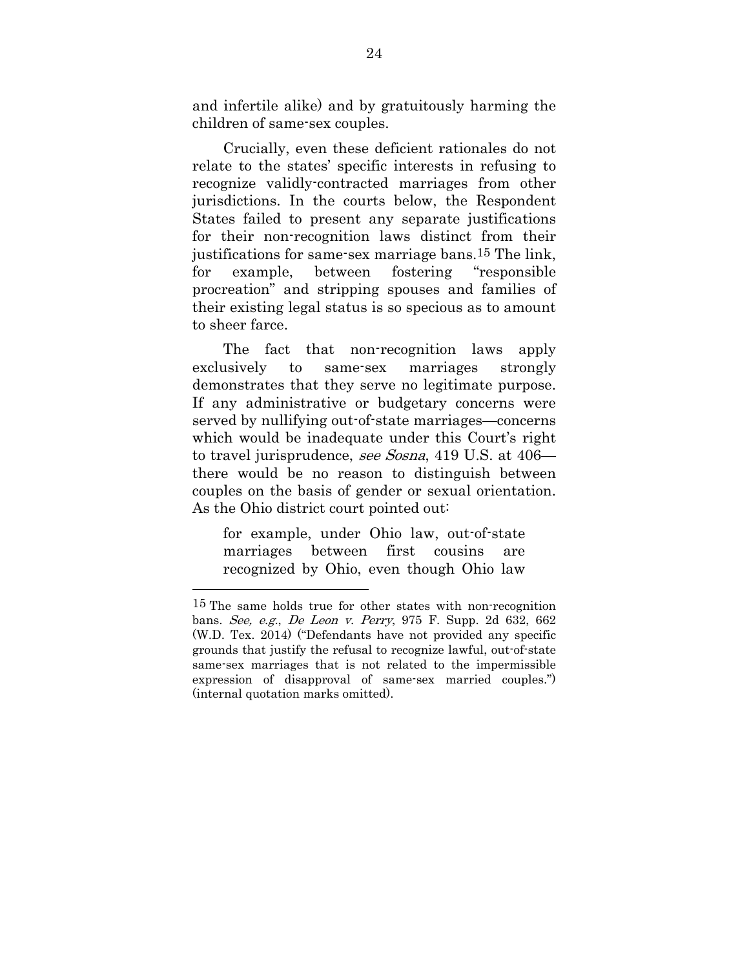and infertile alike) and by gratuitously harming the children of same-sex couples.

Crucially, even these deficient rationales do not relate to the states' specific interests in refusing to recognize validly-contracted marriages from other jurisdictions. In the courts below, the Respondent States failed to present any separate justifications for their non-recognition laws distinct from their justifications for same-sex marriage bans.15 The link, for example, between fostering "responsible procreation" and stripping spouses and families of their existing legal status is so specious as to amount to sheer farce.

The fact that non-recognition laws apply exclusively to same-sex marriages strongly demonstrates that they serve no legitimate purpose. If any administrative or budgetary concerns were served by nullifying out-of-state marriages—concerns which would be inadequate under this Court's right to travel jurisprudence, see Sosna, 419 U.S. at 406 there would be no reason to distinguish between couples on the basis of gender or sexual orientation. As the Ohio district court pointed out:

for example, under Ohio law, out-of-state marriages between first cousins are recognized by Ohio, even though Ohio law

<sup>15</sup> The same holds true for other states with non-recognition bans. See, e.g., De Leon v. Perry, 975 F. Supp. 2d 632, 662 (W.D. Tex. 2014) ("Defendants have not provided any specific grounds that justify the refusal to recognize lawful, out-of-state same-sex marriages that is not related to the impermissible expression of disapproval of same-sex married couples.") (internal quotation marks omitted).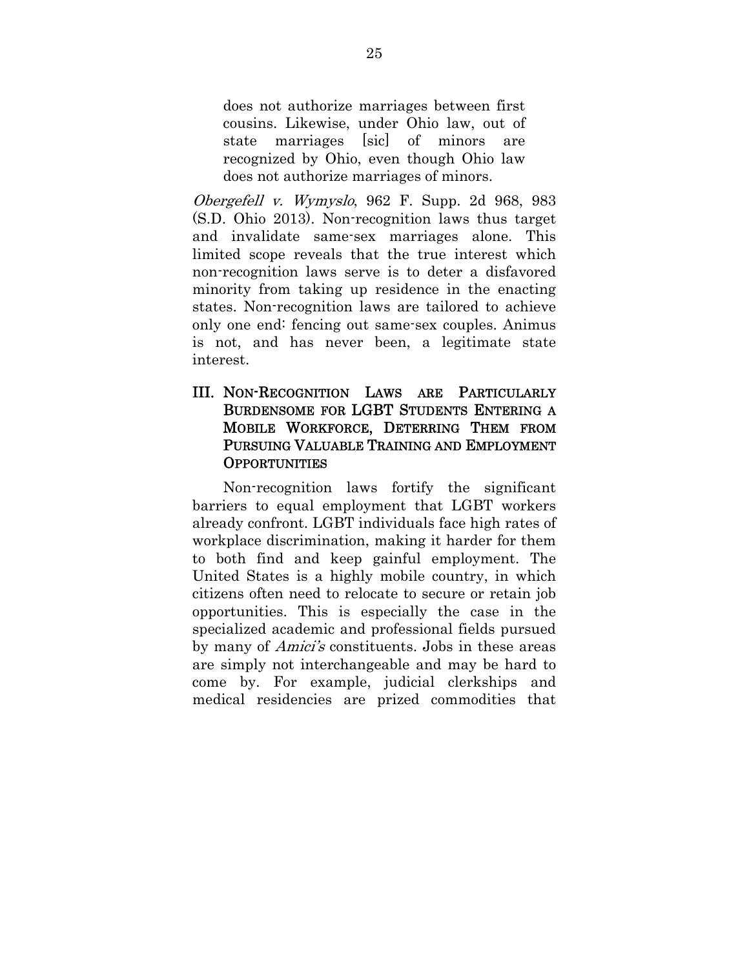does not authorize marriages between first cousins. Likewise, under Ohio law, out of state marriages [sic] of minors are recognized by Ohio, even though Ohio law does not authorize marriages of minors.

Obergefell v. Wymyslo, 962 F. Supp. 2d 968, 983 (S.D. Ohio 2013). Non-recognition laws thus target and invalidate same-sex marriages alone. This limited scope reveals that the true interest which non-recognition laws serve is to deter a disfavored minority from taking up residence in the enacting states. Non-recognition laws are tailored to achieve only one end: fencing out same-sex couples. Animus is not, and has never been, a legitimate state interest.

### III. NON-RECOGNITION LAWS ARE PARTICULARLY BURDENSOME FOR LGBT STUDENTS ENTERING A MOBILE WORKFORCE, DETERRING THEM FROM PURSUING VALUABLE TRAINING AND EMPLOYMENT **OPPORTUNITIES**

Non-recognition laws fortify the significant barriers to equal employment that LGBT workers already confront. LGBT individuals face high rates of workplace discrimination, making it harder for them to both find and keep gainful employment. The United States is a highly mobile country, in which citizens often need to relocate to secure or retain job opportunities. This is especially the case in the specialized academic and professional fields pursued by many of Amici's constituents. Jobs in these areas are simply not interchangeable and may be hard to come by. For example, judicial clerkships and medical residencies are prized commodities that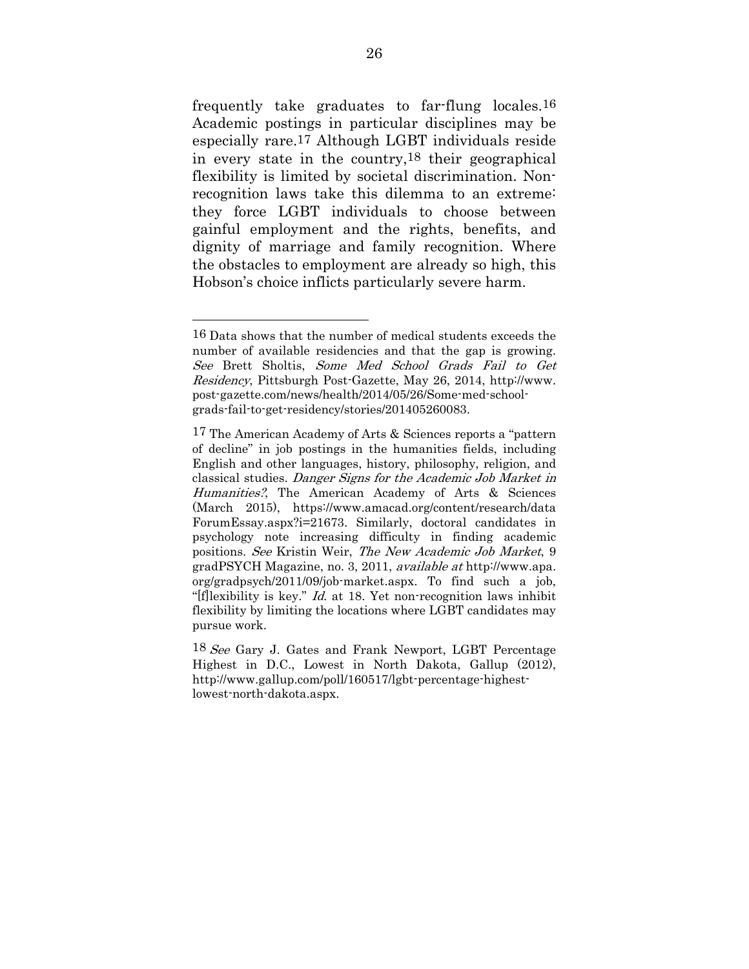frequently take graduates to far-flung locales.16 Academic postings in particular disciplines may be especially rare.17 Although LGBT individuals reside in every state in the country,18 their geographical flexibility is limited by societal discrimination. Nonrecognition laws take this dilemma to an extreme: they force LGBT individuals to choose between gainful employment and the rights, benefits, and dignity of marriage and family recognition. Where the obstacles to employment are already so high, this Hobson's choice inflicts particularly severe harm.

<sup>16</sup> Data shows that the number of medical students exceeds the number of available residencies and that the gap is growing. See Brett Sholtis, Some Med School Grads Fail to Get Residency, Pittsburgh Post-Gazette, May 26, 2014, http://www. post-gazette.com/news/health/2014/05/26/Some-med-schoolgrads-fail-to-get-residency/stories/201405260083.

<sup>17</sup> The American Academy of Arts & Sciences reports a "pattern of decline" in job postings in the humanities fields, including English and other languages, history, philosophy, religion, and classical studies. Danger Signs for the Academic Job Market in Humanities?, The American Academy of Arts & Sciences (March 2015), https://www.amacad.org/content/research/data ForumEssay.aspx?i=21673. Similarly, doctoral candidates in psychology note increasing difficulty in finding academic positions. See Kristin Weir, The New Academic Job Market, 9 gradPSYCH Magazine, no. 3, 2011, available at http://www.apa. org/gradpsych/2011/09/job-market.aspx. To find such a job, "[f]lexibility is key." *Id.* at 18. Yet non-recognition laws inhibit flexibility by limiting the locations where LGBT candidates may pursue work.

<sup>18</sup> See Gary J. Gates and Frank Newport, LGBT Percentage Highest in D.C., Lowest in North Dakota, Gallup (2012), http://www.gallup.com/poll/160517/lgbt-percentage-highestlowest-north-dakota.aspx.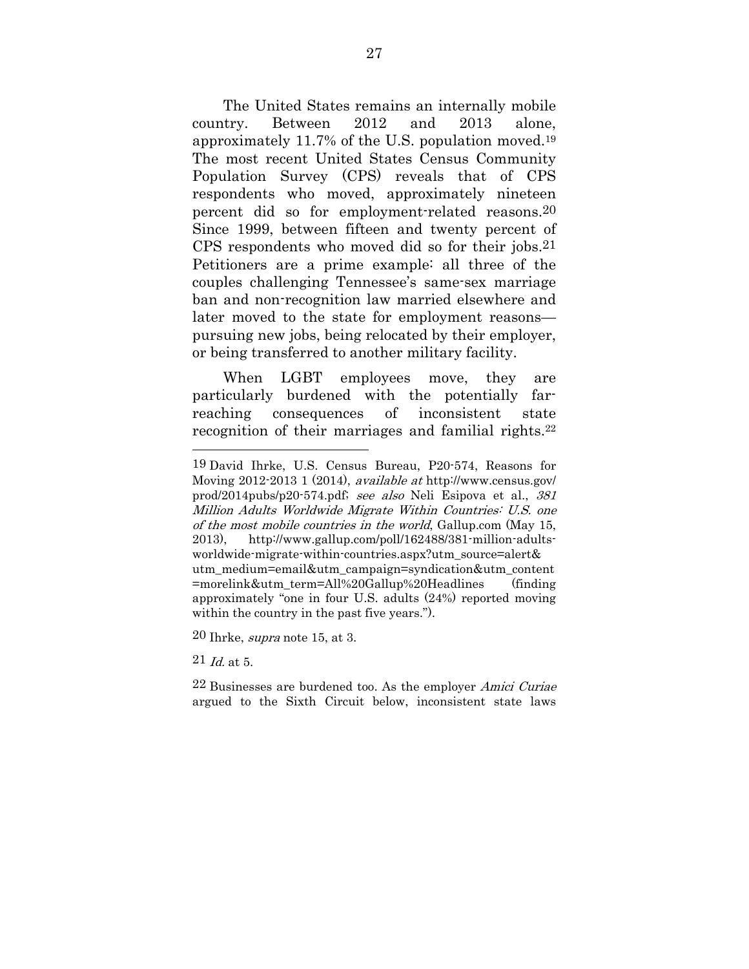The United States remains an internally mobile country. Between 2012 and 2013 alone, approximately 11.7% of the U.S. population moved.19 The most recent United States Census Community Population Survey (CPS) reveals that of CPS respondents who moved, approximately nineteen percent did so for employment-related reasons.20 Since 1999, between fifteen and twenty percent of CPS respondents who moved did so for their jobs.21 Petitioners are a prime example: all three of the couples challenging Tennessee's same-sex marriage ban and non-recognition law married elsewhere and later moved to the state for employment reasons pursuing new jobs, being relocated by their employer, or being transferred to another military facility.

When LGBT employees move, they are particularly burdened with the potentially farreaching consequences of inconsistent state recognition of their marriages and familial rights.<sup>22</sup>

20 Ihrke, supra note 15, at 3.

 $21$  *Id.* at 5.

<sup>19</sup> David Ihrke, U.S. Census Bureau, P20-574, Reasons for Moving 2012-2013 1 (2014), available at http://www.census.gov/ prod/2014pubs/p20-574.pdf; see also Neli Esipova et al., 381 Million Adults Worldwide Migrate Within Countries: U.S. one of the most mobile countries in the world, Gallup.com (May 15, 2013), http://www.gallup.com/poll/162488/381-million-adultsworldwide-migrate-within-countries.aspx?utm\_source=alert& utm\_medium=email&utm\_campaign=syndication&utm\_content =morelink&utm\_term=All%20Gallup%20Headlines (finding approximately "one in four U.S. adults (24%) reported moving within the country in the past five years.").

<sup>22</sup> Businesses are burdened too. As the employer Amici Curiae argued to the Sixth Circuit below, inconsistent state laws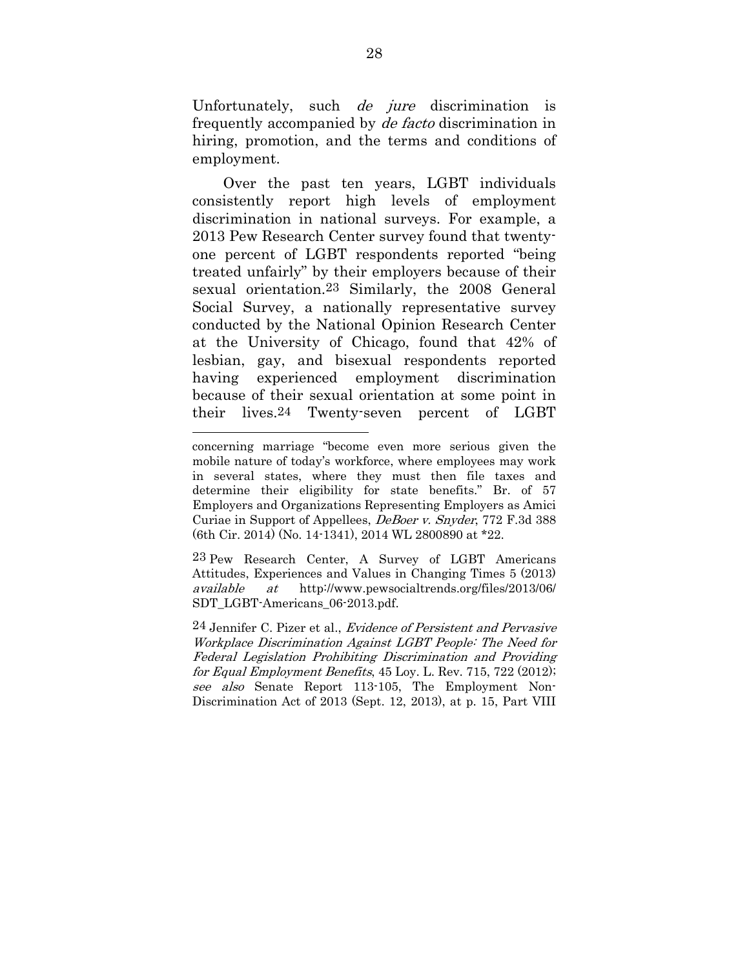Unfortunately, such *de jure* discrimination is frequently accompanied by de facto discrimination in hiring, promotion, and the terms and conditions of employment.

Over the past ten years, LGBT individuals consistently report high levels of employment discrimination in national surveys. For example, a 2013 Pew Research Center survey found that twentyone percent of LGBT respondents reported "being treated unfairly" by their employers because of their sexual orientation.23 Similarly, the 2008 General Social Survey, a nationally representative survey conducted by the National Opinion Research Center at the University of Chicago, found that 42% of lesbian, gay, and bisexual respondents reported having experienced employment discrimination because of their sexual orientation at some point in their lives.24 Twenty-seven percent of LGBT

<u>.</u>

23 Pew Research Center, A Survey of LGBT Americans Attitudes, Experiences and Values in Changing Times 5 (2013) available at http://www.pewsocialtrends.org/files/2013/06/ SDT\_LGBT-Americans\_06-2013.pdf.

concerning marriage "become even more serious given the mobile nature of today's workforce, where employees may work in several states, where they must then file taxes and determine their eligibility for state benefits." Br. of 57 Employers and Organizations Representing Employers as Amici Curiae in Support of Appellees, DeBoer v. Snyder, 772 F.3d 388 (6th Cir. 2014) (No. 14-1341), 2014 WL 2800890 at \*22.

<sup>24</sup> Jennifer C. Pizer et al., Evidence of Persistent and Pervasive Workplace Discrimination Against LGBT People: The Need for Federal Legislation Prohibiting Discrimination and Providing for Equal Employment Benefits, 45 Loy. L. Rev. 715, 722 (2012); see also Senate Report 113-105, The Employment Non-Discrimination Act of 2013 (Sept. 12, 2013), at p. 15, Part VIII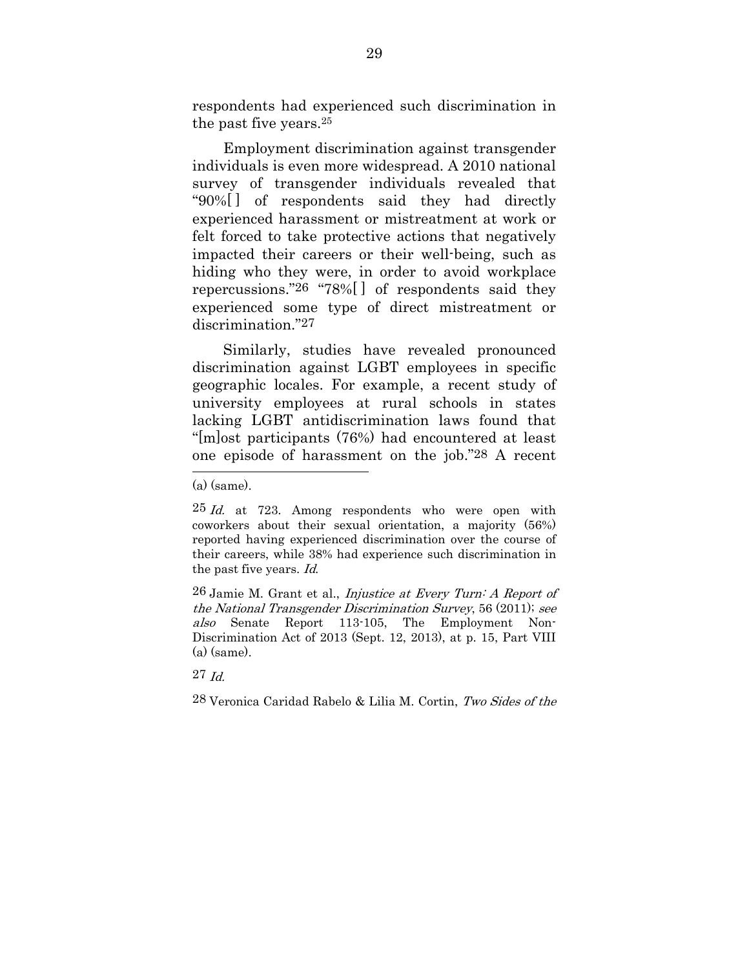respondents had experienced such discrimination in the past five years.25

Employment discrimination against transgender individuals is even more widespread. A 2010 national survey of transgender individuals revealed that "90%[ ] of respondents said they had directly experienced harassment or mistreatment at work or felt forced to take protective actions that negatively impacted their careers or their well-being, such as hiding who they were, in order to avoid workplace repercussions."26 "78%[ ] of respondents said they experienced some type of direct mistreatment or discrimination."27

Similarly, studies have revealed pronounced discrimination against LGBT employees in specific geographic locales. For example, a recent study of university employees at rural schools in states lacking LGBT antidiscrimination laws found that "[m]ost participants (76%) had encountered at least one episode of harassment on the job."28 A recent

<sup>(</sup>a) (same).

 $25$  *Id.* at 723. Among respondents who were open with coworkers about their sexual orientation, a majority (56%) reported having experienced discrimination over the course of their careers, while 38% had experience such discrimination in the past five years. Id.

 $26$  Jamie M. Grant et al., *Injustice at Every Turn: A Report of* the National Transgender Discrimination Survey, 56 (2011); see also Senate Report 113-105, The Employment Non-Discrimination Act of 2013 (Sept. 12, 2013), at p. 15, Part VIII (a) (same).

<sup>27</sup> Id.

<sup>28</sup> Veronica Caridad Rabelo & Lilia M. Cortin, Two Sides of the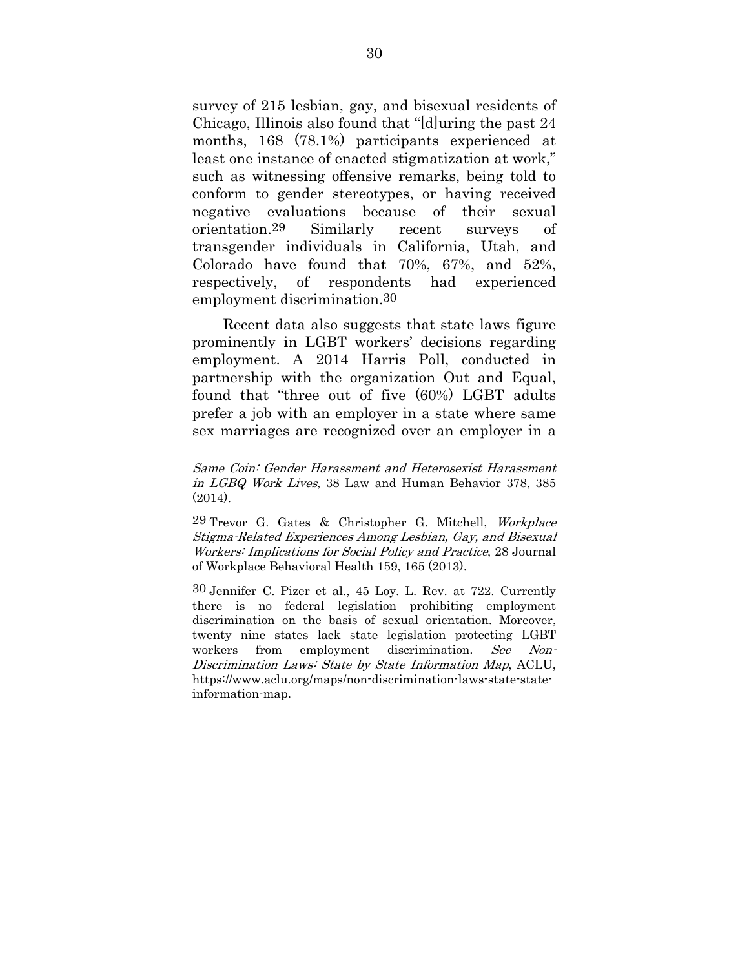survey of 215 lesbian, gay, and bisexual residents of Chicago, Illinois also found that "[d]uring the past 24 months, 168 (78.1%) participants experienced at least one instance of enacted stigmatization at work," such as witnessing offensive remarks, being told to conform to gender stereotypes, or having received negative evaluations because of their sexual orientation.29 Similarly recent surveys of transgender individuals in California, Utah, and Colorado have found that 70%, 67%, and 52%, respectively, of respondents had experienced employment discrimination.30

Recent data also suggests that state laws figure prominently in LGBT workers' decisions regarding employment. A 2014 Harris Poll, conducted in partnership with the organization Out and Equal, found that "three out of five (60%) LGBT adults prefer a job with an employer in a state where same sex marriages are recognized over an employer in a

<u>.</u>

30 Jennifer C. Pizer et al., 45 Loy. L. Rev. at 722. Currently there is no federal legislation prohibiting employment discrimination on the basis of sexual orientation. Moreover, twenty nine states lack state legislation protecting LGBT workers from employment discrimination. See Non-Discrimination Laws: State by State Information Map, ACLU, https://www.aclu.org/maps/non-discrimination-laws-state-stateinformation-map.

Same Coin: Gender Harassment and Heterosexist Harassment in LGBQ Work Lives, 38 Law and Human Behavior 378, 385 (2014).

<sup>29</sup> Trevor G. Gates & Christopher G. Mitchell, Workplace Stigma-Related Experiences Among Lesbian, Gay, and Bisexual Workers: Implications for Social Policy and Practice, 28 Journal of Workplace Behavioral Health 159, 165 (2013).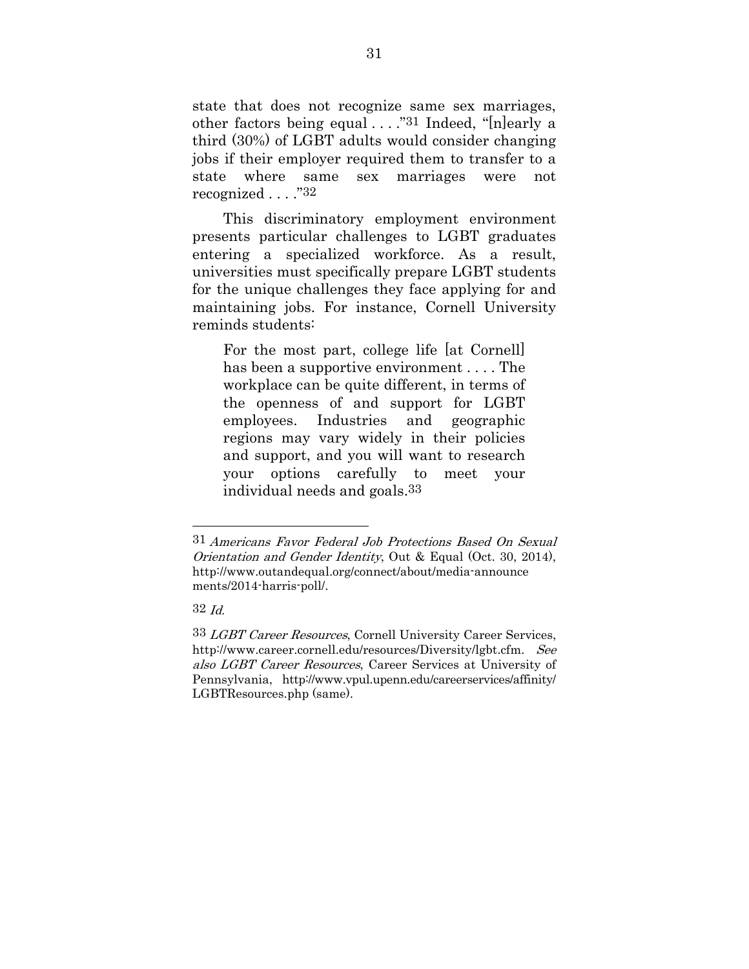state that does not recognize same sex marriages, other factors being equal . . . ."31 Indeed, "[n]early a third (30%) of LGBT adults would consider changing jobs if their employer required them to transfer to a state where same sex marriages were not recognized . . . ."32

This discriminatory employment environment presents particular challenges to LGBT graduates entering a specialized workforce. As a result, universities must specifically prepare LGBT students for the unique challenges they face applying for and maintaining jobs. For instance, Cornell University reminds students:

For the most part, college life [at Cornell] has been a supportive environment . . . . The workplace can be quite different, in terms of the openness of and support for LGBT employees. Industries and geographic regions may vary widely in their policies and support, and you will want to research your options carefully to meet your individual needs and goals.33

<sup>31</sup> Americans Favor Federal Job Protections Based On Sexual Orientation and Gender Identity, Out & Equal (Oct. 30, 2014), http://www.outandequal.org/connect/about/media-announce ments/2014-harris-poll/.

<sup>32</sup> Id.

<sup>33</sup> LGBT Career Resources, Cornell University Career Services, http://www.career.cornell.edu/resources/Diversity/lgbt.cfm. See also LGBT Career Resources, Career Services at University of Pennsylvania, http://www.vpul.upenn.edu/careerservices/affinity/ LGBTResources.php (same).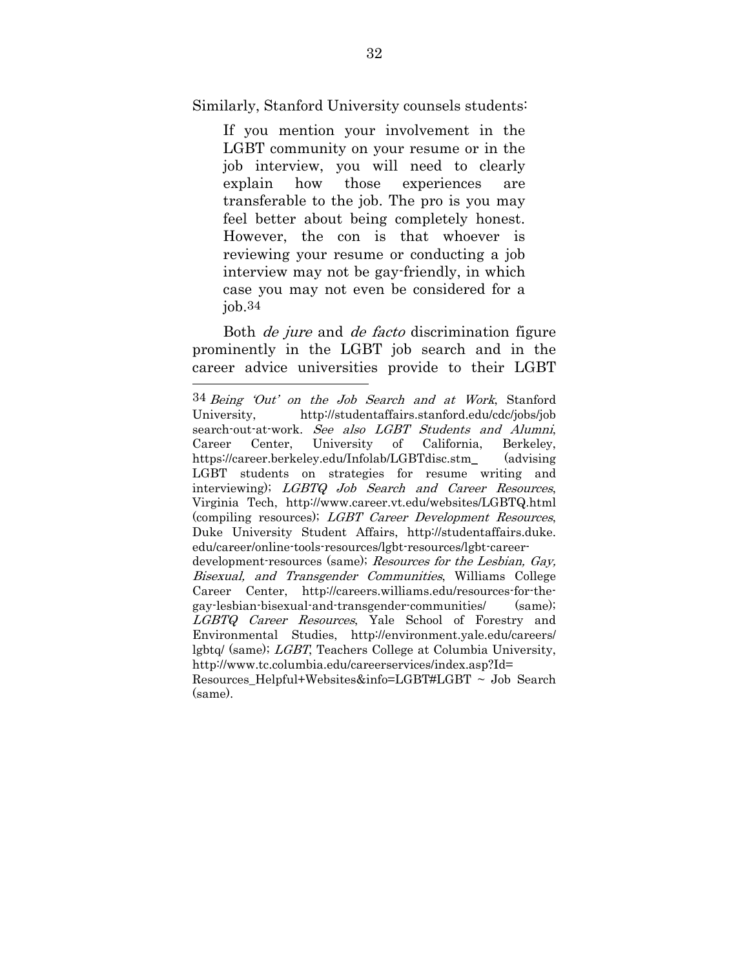Similarly, Stanford University counsels students:

If you mention your involvement in the LGBT community on your resume or in the job interview, you will need to clearly explain how those experiences are transferable to the job. The pro is you may feel better about being completely honest. However, the con is that whoever is reviewing your resume or conducting a job interview may not be gay-friendly, in which case you may not even be considered for a  $i$ ob. $34$ 

Both de jure and de facto discrimination figure prominently in the LGBT job search and in the career advice universities provide to their LGBT <u>.</u>

<sup>34</sup> Being 'Out' on the Job Search and at Work, Stanford University, http://studentaffairs.stanford.edu/cdc/jobs/job search-out-at-work. See also LGBT Students and Alumni, Career Center, University of California, Berkeley, https://career.berkeley.edu/Infolab/LGBTdisc.stm\_ (advising LGBT students on strategies for resume writing and interviewing); LGBTQ Job Search and Career Resources, Virginia Tech, http://www.career.vt.edu/websites/LGBTQ.html (compiling resources); LGBT Career Development Resources, Duke University Student Affairs, http://studentaffairs.duke. edu/career/online-tools-resources/lgbt-resources/lgbt-careerdevelopment-resources (same); Resources for the Lesbian, Gay, Bisexual, and Transgender Communities, Williams College Career Center, http://careers.williams.edu/resources-for-thegay-lesbian-bisexual-and-transgender-communities/ (same); LGBTQ Career Resources, Yale School of Forestry and Environmental Studies, http://environment.yale.edu/careers/ lgbtq/ (same); LGBT, Teachers College at Columbia University, http://www.tc.columbia.edu/careerservices/index.asp?Id= Resources\_Helpful+Websites&info=LGBT#LGBT ~ Job Search (same).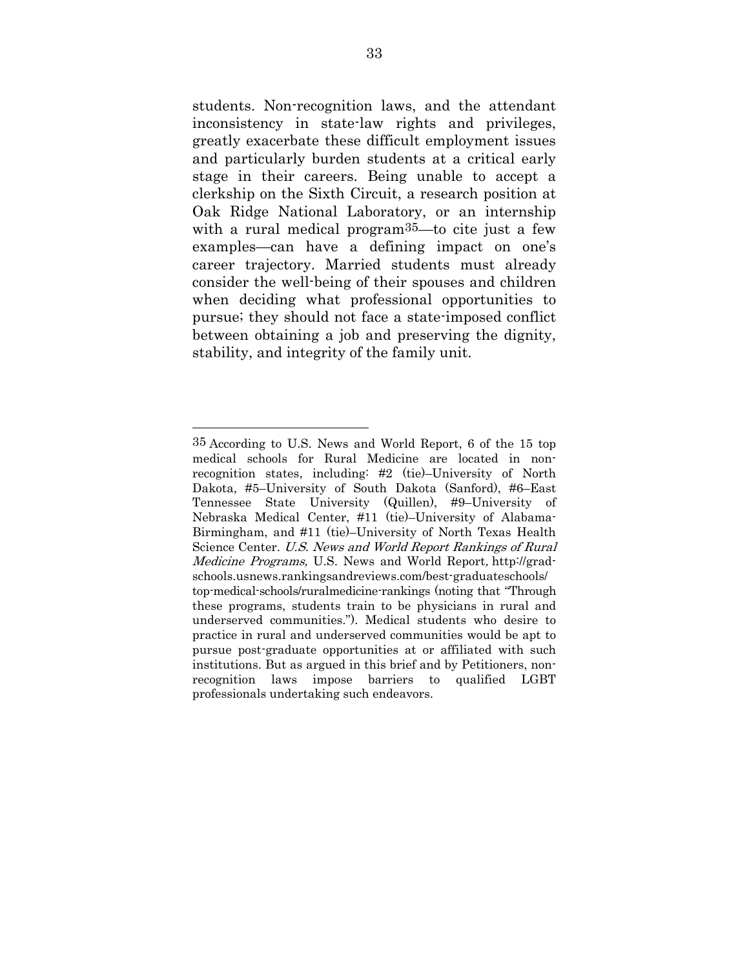students. Non-recognition laws, and the attendant inconsistency in state-law rights and privileges, greatly exacerbate these difficult employment issues and particularly burden students at a critical early stage in their careers. Being unable to accept a clerkship on the Sixth Circuit, a research position at Oak Ridge National Laboratory, or an internship with a rural medical program<sup>35</sup>—to cite just a few examples—can have a defining impact on one's career trajectory. Married students must already consider the well-being of their spouses and children when deciding what professional opportunities to pursue; they should not face a state-imposed conflict between obtaining a job and preserving the dignity, stability, and integrity of the family unit.

<sup>35</sup> According to U.S. News and World Report, 6 of the 15 top medical schools for Rural Medicine are located in nonrecognition states, including: #2 (tie)–University of North Dakota, #5–University of South Dakota (Sanford), #6–East Tennessee State University (Quillen), #9–University of Nebraska Medical Center, #11 (tie)–University of Alabama-Birmingham, and #11 (tie)–University of North Texas Health Science Center. U.S. News and World Report Rankings of Rural Medicine Programs, U.S. News and World Report, http://gradschools.usnews.rankingsandreviews.com/best-graduateschools/ top-medical-schools/ruralmedicine-rankings (noting that "Through these programs, students train to be physicians in rural and underserved communities."). Medical students who desire to practice in rural and underserved communities would be apt to pursue post-graduate opportunities at or affiliated with such institutions. But as argued in this brief and by Petitioners, nonrecognition laws impose barriers to qualified LGBT professionals undertaking such endeavors.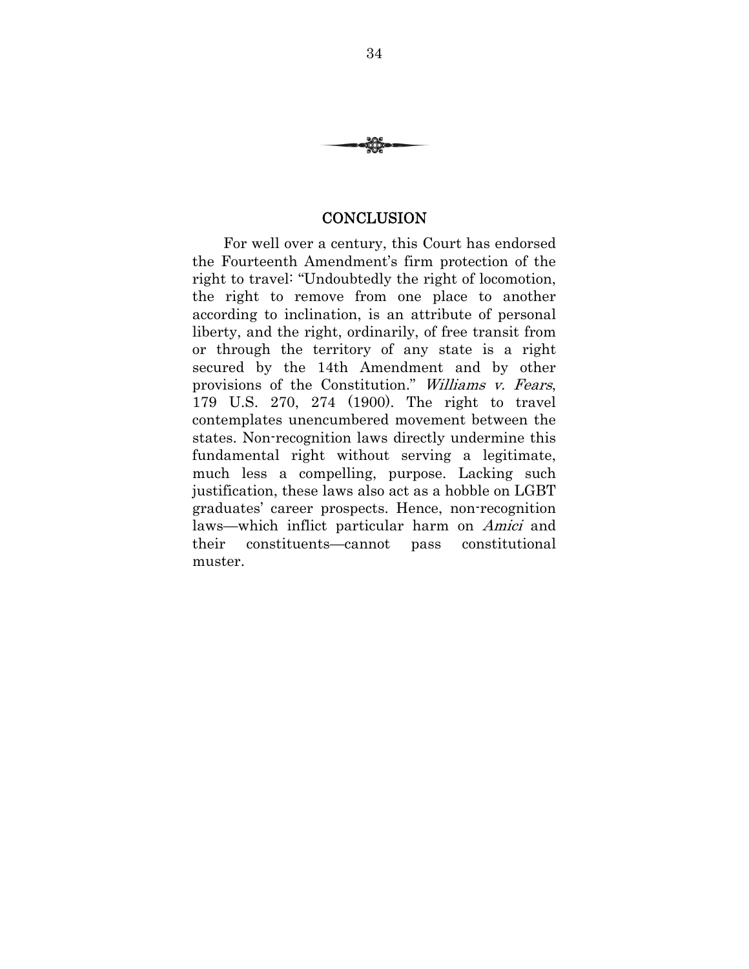

#### **CONCLUSION**

For well over a century, this Court has endorsed the Fourteenth Amendment's firm protection of the right to travel: "Undoubtedly the right of locomotion, the right to remove from one place to another according to inclination, is an attribute of personal liberty, and the right, ordinarily, of free transit from or through the territory of any state is a right secured by the 14th Amendment and by other provisions of the Constitution." Williams v. Fears, 179 U.S. 270, 274 (1900). The right to travel contemplates unencumbered movement between the states. Non-recognition laws directly undermine this fundamental right without serving a legitimate, much less a compelling, purpose. Lacking such justification, these laws also act as a hobble on LGBT graduates' career prospects. Hence, non-recognition laws—which inflict particular harm on Amici and their constituents—cannot pass constitutional muster.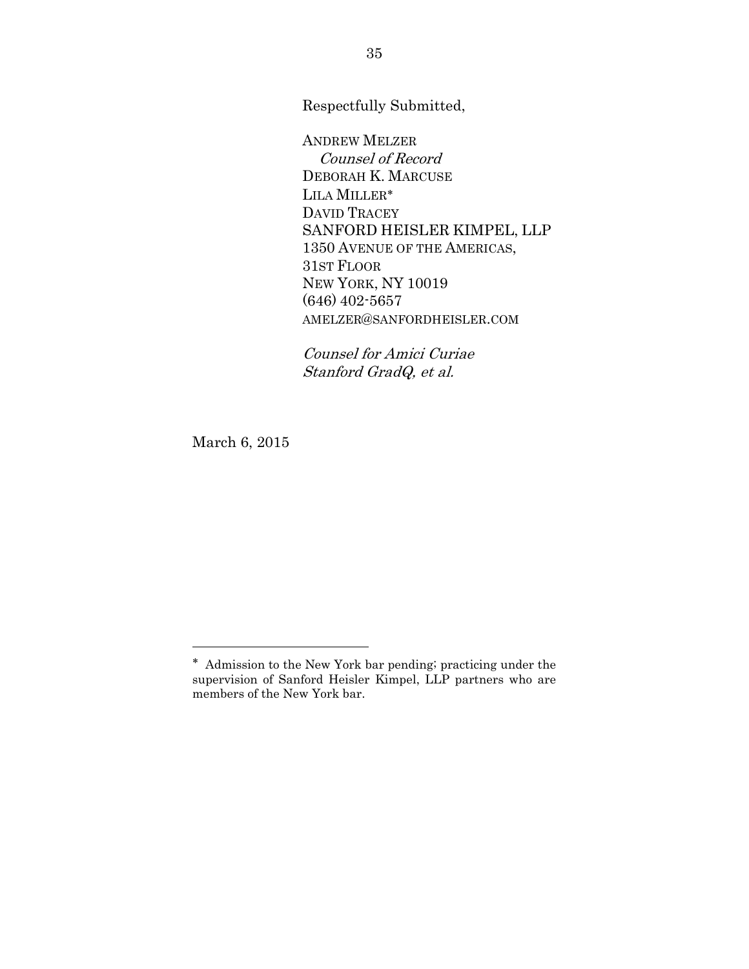Respectfully Submitted,

ANDREW MELZER Counsel of Record DEBORAH K. MARCUSE LILA MILLER DAVID TRACEY SANFORD HEISLER KIMPEL, LLP 1350 AVENUE OF THE AMERICAS, 31ST FLOOR NEW YORK, NY 10019 (646) 402-5657 AMELZER@SANFORDHEISLER.COM

Counsel for Amici Curiae Stanford GradQ, et al.

March 6, 2015

Admission to the New York bar pending; practicing under the supervision of Sanford Heisler Kimpel, LLP partners who are members of the New York bar.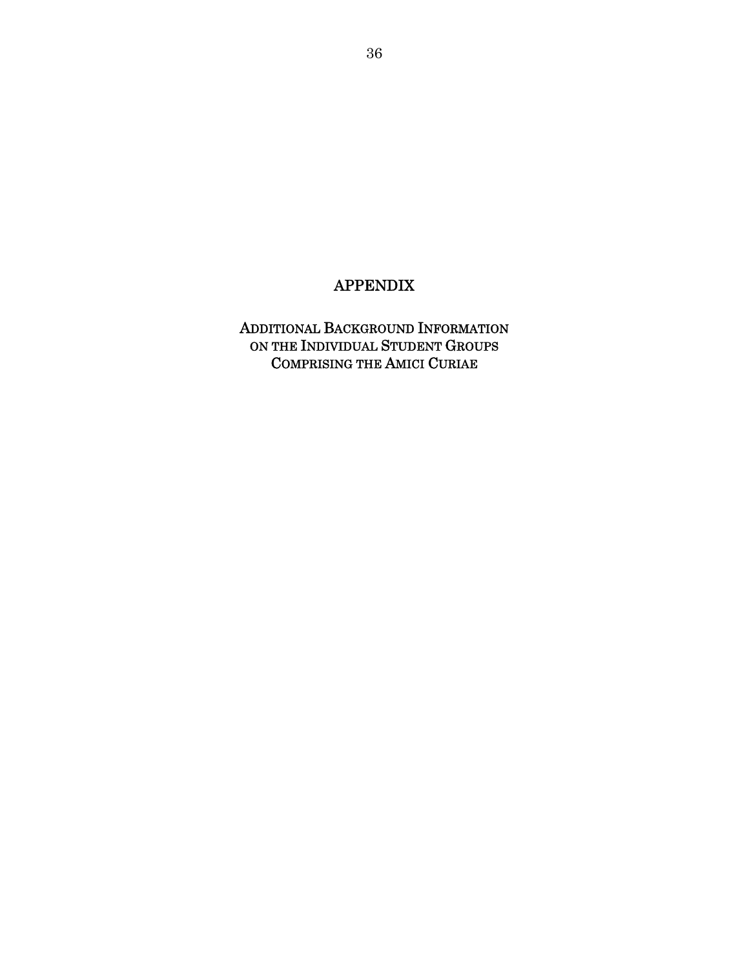## APPENDIX

ADDITIONAL BACKGROUND INFORMATION ON THE INDIVIDUAL STUDENT GROUPS COMPRISING THE AMICI CURIAE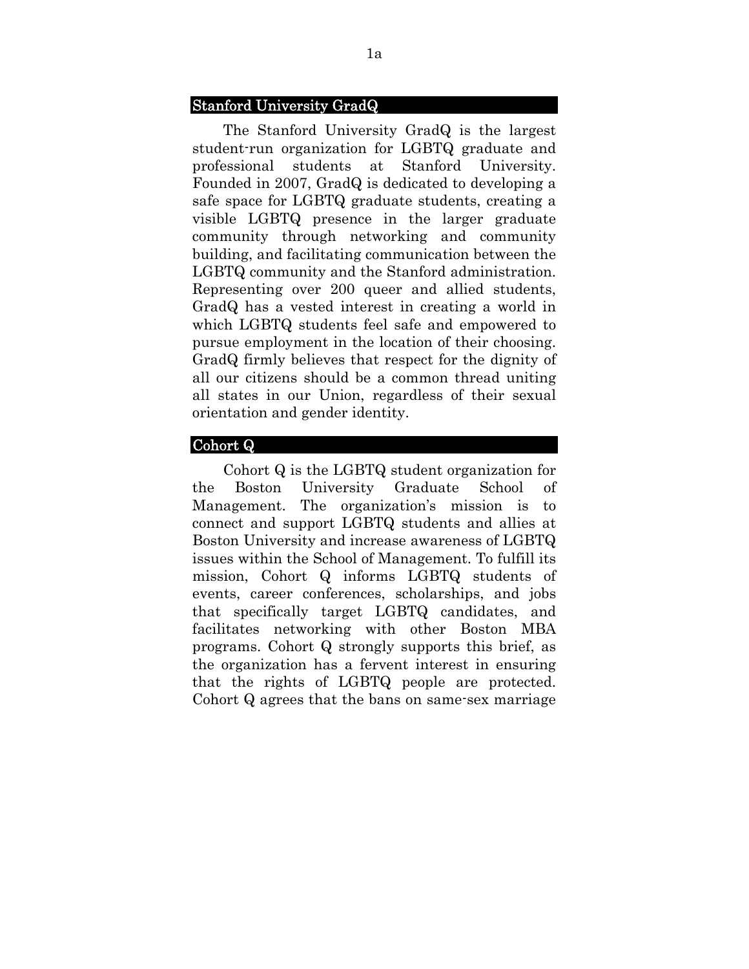#### Stanford University GradQ

The Stanford University GradQ is the largest student-run organization for LGBTQ graduate and professional students at Stanford University. Founded in 2007, GradQ is dedicated to developing a safe space for LGBTQ graduate students, creating a visible LGBTQ presence in the larger graduate community through networking and community building, and facilitating communication between the LGBTQ community and the Stanford administration. Representing over 200 queer and allied students, GradQ has a vested interest in creating a world in which LGBTQ students feel safe and empowered to pursue employment in the location of their choosing. GradQ firmly believes that respect for the dignity of all our citizens should be a common thread uniting all states in our Union, regardless of their sexual orientation and gender identity.

### Cohort Q

Cohort Q is the LGBTQ student organization for the Boston University Graduate School of Management. The organization's mission is to connect and support LGBTQ students and allies at Boston University and increase awareness of LGBTQ issues within the School of Management. To fulfill its mission, Cohort Q informs LGBTQ students of events, career conferences, scholarships, and jobs that specifically target LGBTQ candidates, and facilitates networking with other Boston MBA programs. Cohort Q strongly supports this brief, as the organization has a fervent interest in ensuring that the rights of LGBTQ people are protected. Cohort Q agrees that the bans on same-sex marriage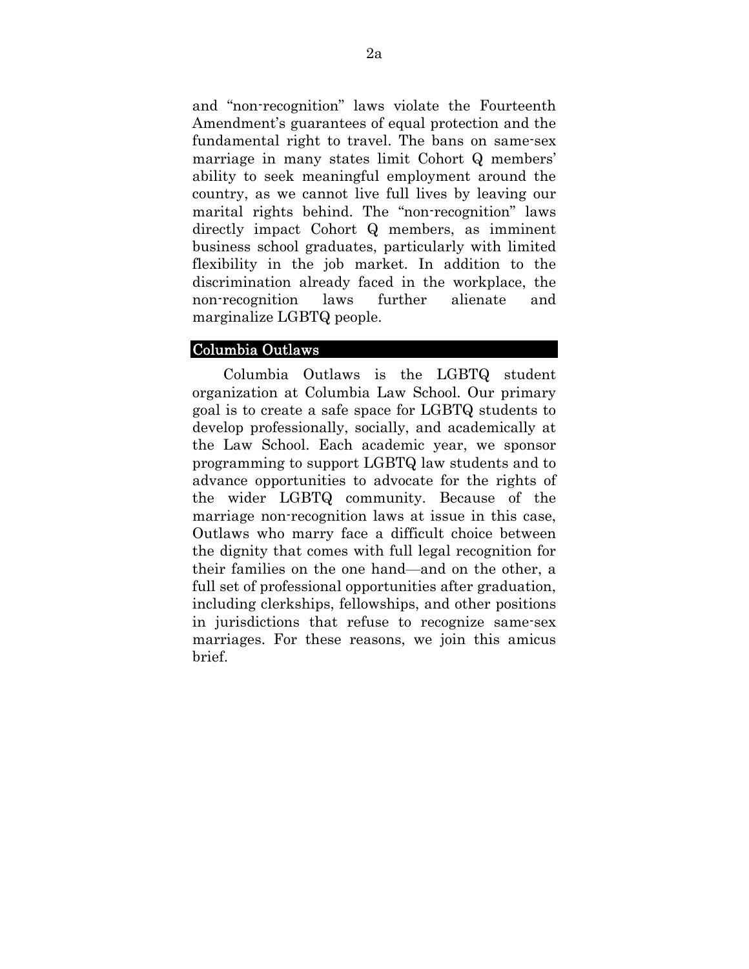and "non-recognition" laws violate the Fourteenth Amendment's guarantees of equal protection and the fundamental right to travel. The bans on same-sex marriage in many states limit Cohort Q members' ability to seek meaningful employment around the country, as we cannot live full lives by leaving our marital rights behind. The "non-recognition" laws directly impact Cohort Q members, as imminent business school graduates, particularly with limited flexibility in the job market. In addition to the discrimination already faced in the workplace, the non-recognition laws further alienate and marginalize LGBTQ people.

### Columbia Outlaws

Columbia Outlaws is the LGBTQ student organization at Columbia Law School. Our primary goal is to create a safe space for LGBTQ students to develop professionally, socially, and academically at the Law School. Each academic year, we sponsor programming to support LGBTQ law students and to advance opportunities to advocate for the rights of the wider LGBTQ community. Because of the marriage non-recognition laws at issue in this case, Outlaws who marry face a difficult choice between the dignity that comes with full legal recognition for their families on the one hand—and on the other, a full set of professional opportunities after graduation, including clerkships, fellowships, and other positions in jurisdictions that refuse to recognize same-sex marriages. For these reasons, we join this amicus brief.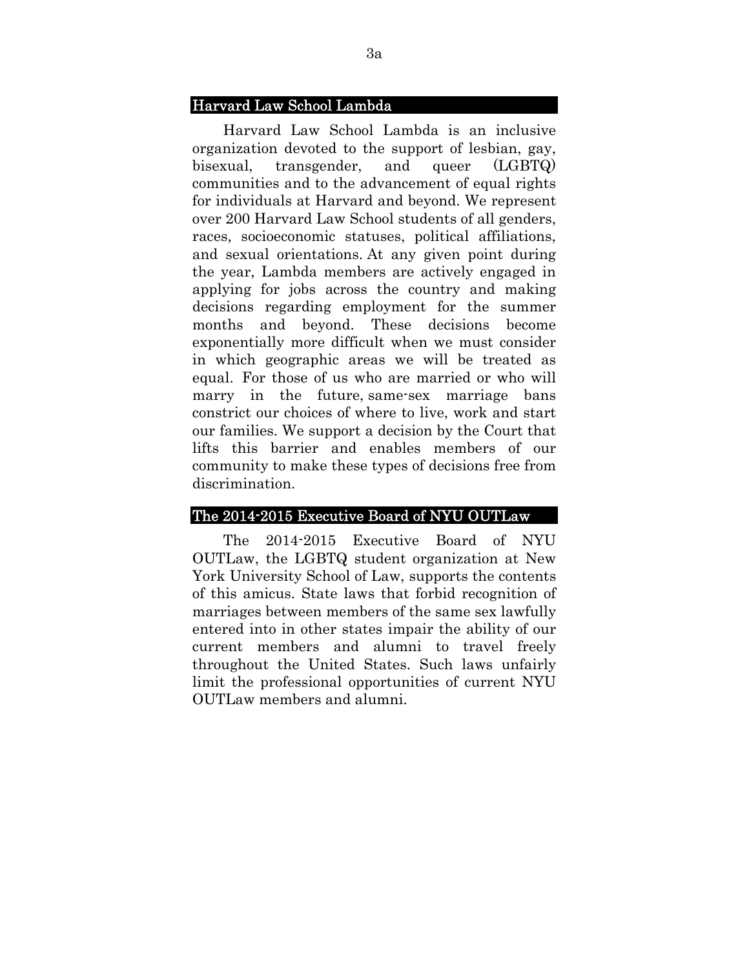#### Harvard Law School Lambda

Harvard Law School Lambda is an inclusive organization devoted to the support of lesbian, gay, bisexual, transgender, and queer (LGBTQ) communities and to the advancement of equal rights for individuals at Harvard and beyond. We represent over 200 Harvard Law School students of all genders, races, socioeconomic statuses, political affiliations, and sexual orientations. At any given point during the year, Lambda members are actively engaged in applying for jobs across the country and making decisions regarding employment for the summer months and beyond. These decisions become exponentially more difficult when we must consider in which geographic areas we will be treated as equal. For those of us who are married or who will marry in the future, same-sex marriage bans constrict our choices of where to live, work and start our families. We support a decision by the Court that lifts this barrier and enables members of our community to make these types of decisions free from discrimination.

#### The 2014-2015 Executive Board of NYU OUTLaw

The 2014-2015 Executive Board of NYU OUTLaw, the LGBTQ student organization at New York University School of Law, supports the contents of this amicus. State laws that forbid recognition of marriages between members of the same sex lawfully entered into in other states impair the ability of our current members and alumni to travel freely throughout the United States. Such laws unfairly limit the professional opportunities of current NYU OUTLaw members and alumni.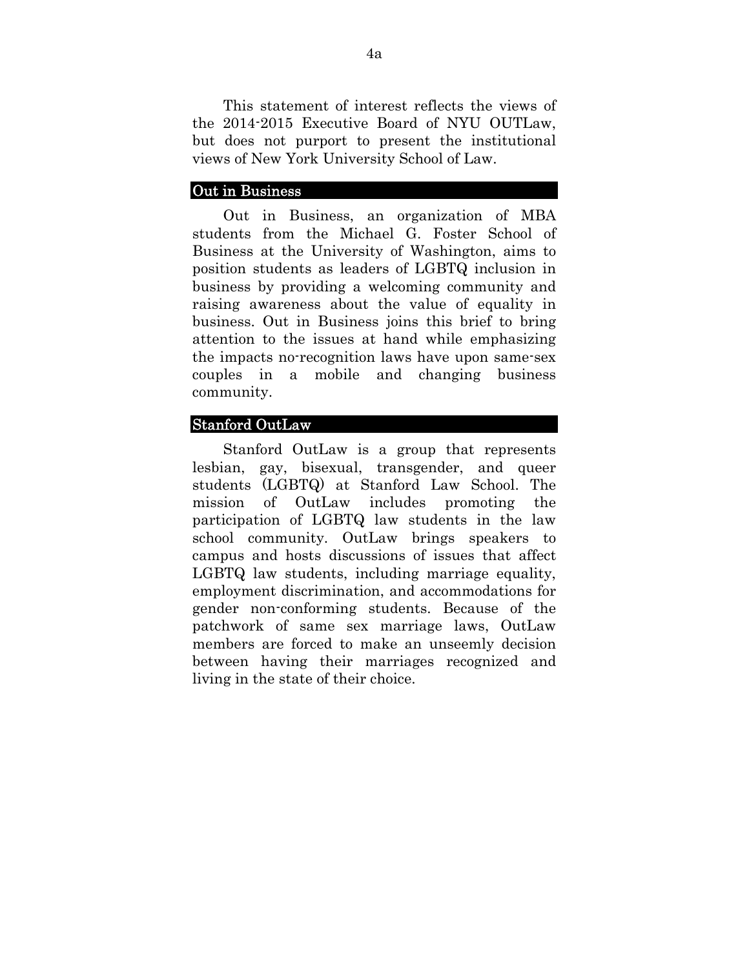This statement of interest reflects the views of the 2014-2015 Executive Board of NYU OUTLaw, but does not purport to present the institutional views of New York University School of Law.

#### Out in Business

Out in Business, an organization of MBA students from the Michael G. Foster School of Business at the University of Washington, aims to position students as leaders of LGBTQ inclusion in business by providing a welcoming community and raising awareness about the value of equality in business. Out in Business joins this brief to bring attention to the issues at hand while emphasizing the impacts no-recognition laws have upon same-sex couples in a mobile and changing business community.

### Stanford OutLaw

Stanford OutLaw is a group that represents lesbian, gay, bisexual, transgender, and queer students (LGBTQ) at Stanford Law School. The mission of OutLaw includes promoting the participation of LGBTQ law students in the law school community. OutLaw brings speakers to campus and hosts discussions of issues that affect LGBTQ law students, including marriage equality, employment discrimination, and accommodations for gender non-conforming students. Because of the patchwork of same sex marriage laws, OutLaw members are forced to make an unseemly decision between having their marriages recognized and living in the state of their choice.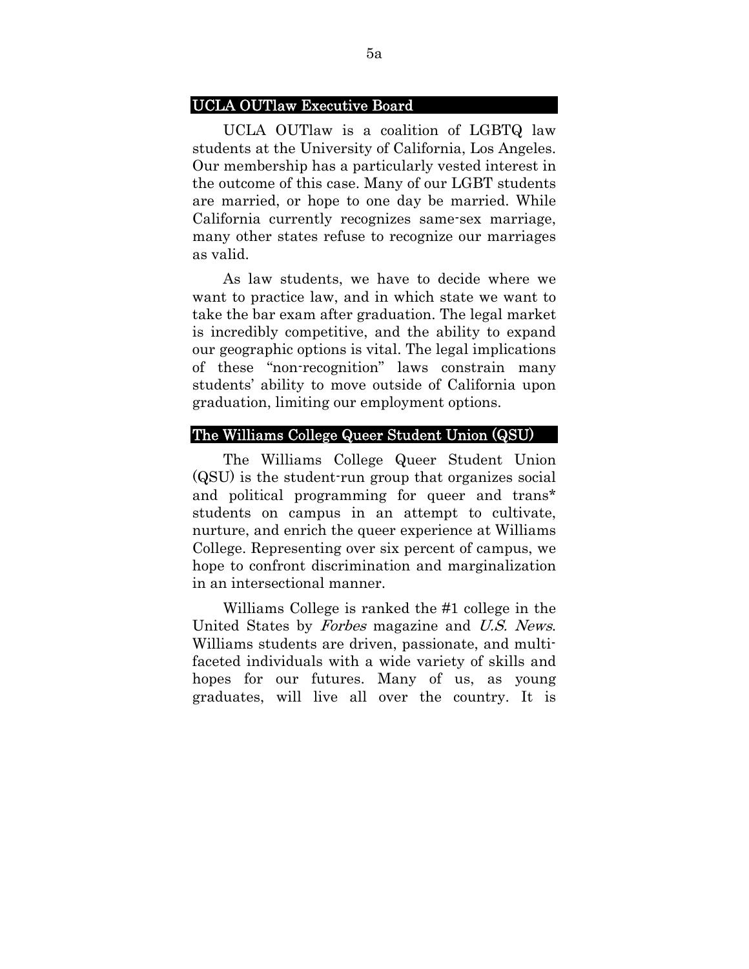#### UCLA OUTlaw Executive Board

UCLA OUTlaw is a coalition of LGBTQ law students at the University of California, Los Angeles. Our membership has a particularly vested interest in the outcome of this case. Many of our LGBT students are married, or hope to one day be married. While California currently recognizes same-sex marriage, many other states refuse to recognize our marriages as valid.

As law students, we have to decide where we want to practice law, and in which state we want to take the bar exam after graduation. The legal market is incredibly competitive, and the ability to expand our geographic options is vital. The legal implications of these "non-recognition" laws constrain many students' ability to move outside of California upon graduation, limiting our employment options.

#### The Williams College Queer Student Union (QSU)

The Williams College Queer Student Union (QSU) is the student-run group that organizes social and political programming for queer and trans\* students on campus in an attempt to cultivate, nurture, and enrich the queer experience at Williams College. Representing over six percent of campus, we hope to confront discrimination and marginalization in an intersectional manner.

Williams College is ranked the #1 college in the United States by Forbes magazine and U.S. News. Williams students are driven, passionate, and multifaceted individuals with a wide variety of skills and hopes for our futures. Many of us, as young graduates, will live all over the country. It is